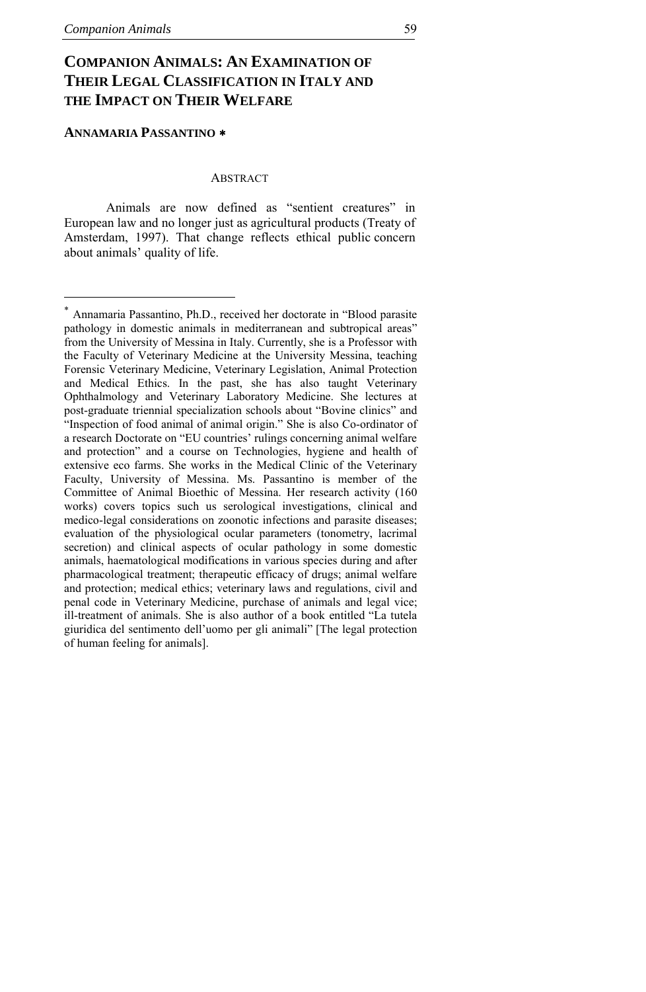# <span id="page-0-0"></span>**COMPANION ANIMALS: AN EXAMINATION OF THEIR LEGAL CLASSIFICATION IN ITALY AND THE IMPACT ON THEIR WELFARE**

### **ANNAMARIA PASSANTINO** [∗](#page-0-0)

# **ABSTRACT**

Animals are now defined as "sentient creatures" in European law and no longer just as agricultural products (Treaty of Amsterdam, 1997). That change reflects ethical public concern about animals' quality of life.

<sup>∗</sup> Annamaria Passantino, Ph.D., received her doctorate in "Blood parasite pathology in domestic animals in mediterranean and subtropical areas" from the University of Messina in Italy. Currently, she is a Professor with the Faculty of Veterinary Medicine at the University Messina, teaching Forensic Veterinary Medicine, Veterinary Legislation, Animal Protection and Medical Ethics. In the past, she has also taught Veterinary Ophthalmology and Veterinary Laboratory Medicine. She lectures at post-graduate triennial specialization schools about "Bovine clinics" and "Inspection of food animal of animal origin." She is also Co-ordinator of a research Doctorate on "EU countries' rulings concerning animal welfare and protection" and a course on Technologies, hygiene and health of extensive eco farms. She works in the Medical Clinic of the Veterinary Faculty, University of Messina. Ms. Passantino is member of the Committee of Animal Bioethic of Messina. Her research activity (160 works) covers topics such us serological investigations, clinical and medico-legal considerations on zoonotic infections and parasite diseases; evaluation of the physiological ocular parameters (tonometry, lacrimal secretion) and clinical aspects of ocular pathology in some domestic animals, haematological modifications in various species during and after pharmacological treatment; therapeutic efficacy of drugs; animal welfare and protection; medical ethics; veterinary laws and regulations, civil and penal code in Veterinary Medicine, purchase of animals and legal vice; ill-treatment of animals. She is also author of a book entitled "La tutela giuridica del sentimento dell'uomo per gli animali" [The legal protection of human feeling for animals].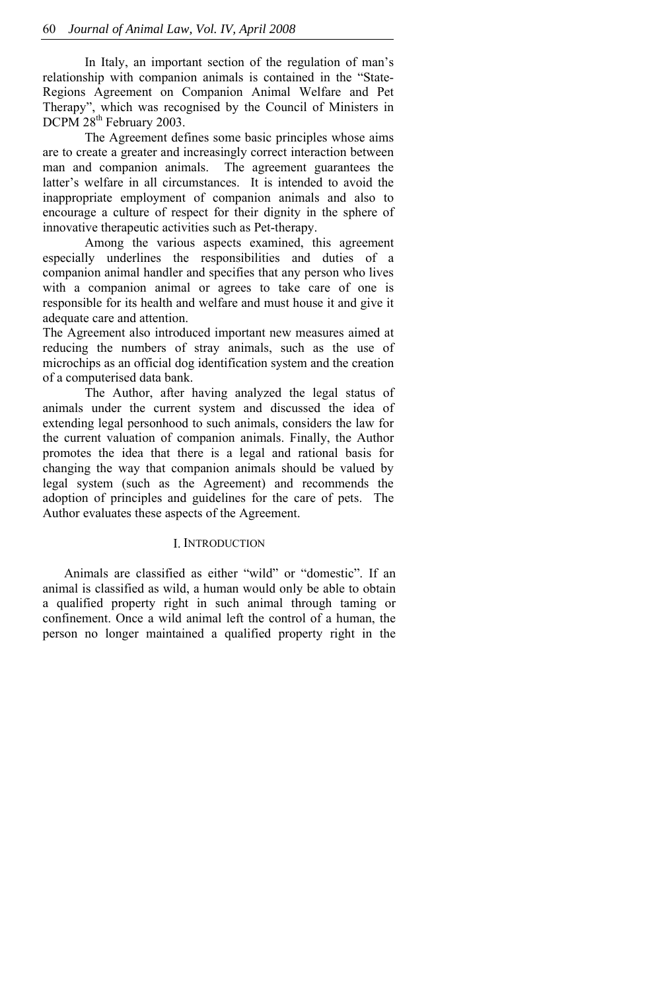In Italy, an important section of the regulation of man's relationship with companion animals is contained in the "State-Regions Agreement on Companion Animal Welfare and Pet Therapy", which was recognised by the Council of Ministers in DCPM 28<sup>th</sup> February 2003.

The Agreement defines some basic principles whose aims are to create a greater and increasingly correct interaction between man and companion animals. The agreement guarantees the latter's welfare in all circumstances. It is intended to avoid the inappropriate employment of companion animals and also to encourage a culture of respect for their dignity in the sphere of innovative therapeutic activities such as Pet-therapy.

Among the various aspects examined, this agreement especially underlines the responsibilities and duties of a companion animal handler and specifies that any person who lives with a companion animal or agrees to take care of one is responsible for its health and welfare and must house it and give it adequate care and attention.

The Agreement also introduced important new measures aimed at reducing the numbers of stray animals, such as the use of microchips as an official dog identification system and the creation of a computerised data bank.

The Author, after having analyzed the legal status of animals under the current system and discussed the idea of extending legal personhood to such animals, considers the law for the current valuation of companion animals. Finally, the Author promotes the idea that there is a legal and rational basis for changing the way that companion animals should be valued by legal system (such as the Agreement) and recommends the adoption of principles and guidelines for the care of pets. The Author evaluates these aspects of the Agreement.

# I. INTRODUCTION

Animals are classified as either "wild" or "domestic". If an animal is classified as wild, a human would only be able to obtain a qualified property right in such animal through taming or confinement. Once a wild animal left the control of a human, the person no longer maintained a qualified property right in the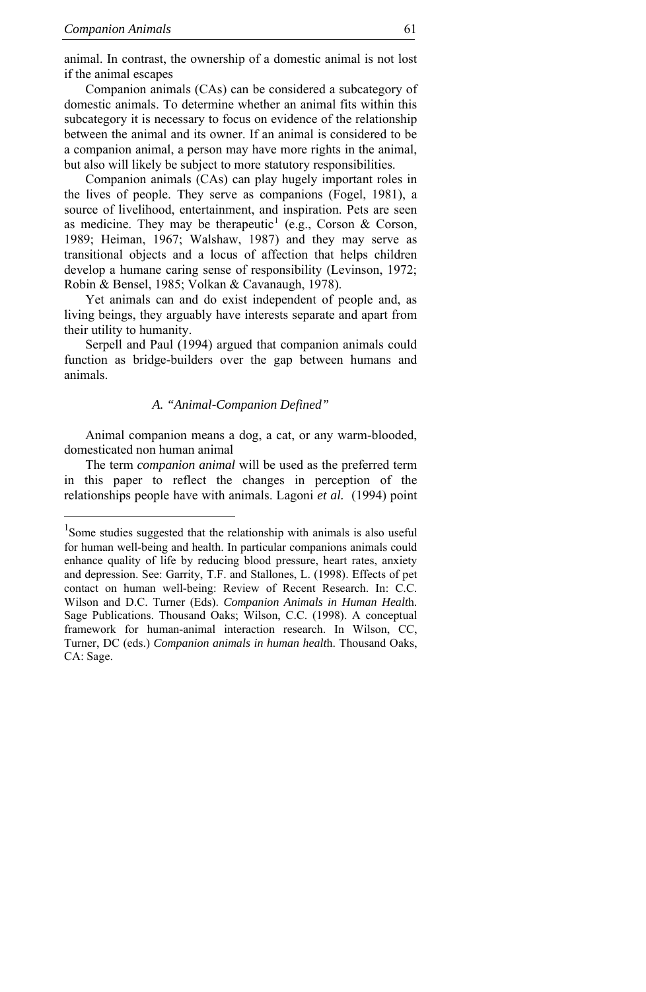<span id="page-2-0"></span>animal. In contrast, the ownership of a domestic animal is not lost if the animal escapes

Companion animals (CAs) can be considered a subcategory of domestic animals. To determine whether an animal fits within this subcategory it is necessary to focus on evidence of the relationship between the animal and its owner. If an animal is considered to be a companion animal, a person may have more rights in the animal, but also will likely be subject to more statutory responsibilities.

Companion animals (CAs) can play hugely important roles in the lives of people. They serve as companions (Fogel, 1981), a source of livelihood, entertainment, and inspiration. Pets are seen as medicine. They may be therapeutic<sup>[1](#page-2-0)</sup> (e.g., Corson & Corson, 1989; Heiman, 1967; Walshaw, 1987) and they may serve as transitional objects and a locus of affection that helps children develop a humane caring sense of responsibility (Levinson, 1972; Robin & Bensel, 1985; Volkan & Cavanaugh, 1978).

Yet animals can and do exist independent of people and, as living beings, they arguably have interests separate and apart from their utility to humanity.

Serpell and Paul (1994) argued that companion animals could function as bridge-builders over the gap between humans and animals.

#### *A. "Animal-Companion Defined"*

Animal companion means a dog, a cat, or any warm-blooded, domesticated non human animal

The term *companion animal* will be used as the preferred term in this paper to reflect the changes in perception of the relationships people have with animals. Lagoni *et al.* (1994) point

<sup>&</sup>lt;sup>1</sup>Some studies suggested that the relationship with animals is also useful for human well-being and health. In particular companions animals could enhance quality of life by reducing blood pressure, heart rates, anxiety and depression. See: Garrity, T.F. and Stallones, L. (1998). Effects of pet contact on human well-being: Review of Recent Research. In: C.C. Wilson and D.C. Turner (Eds). *Companion Animals in Human Healt*h. Sage Publications. Thousand Oaks; Wilson, C.C. (1998). A conceptual framework for human-animal interaction research. In Wilson, CC, Turner, DC (eds.) *Companion animals in human healt*h. Thousand Oaks, CA: Sage.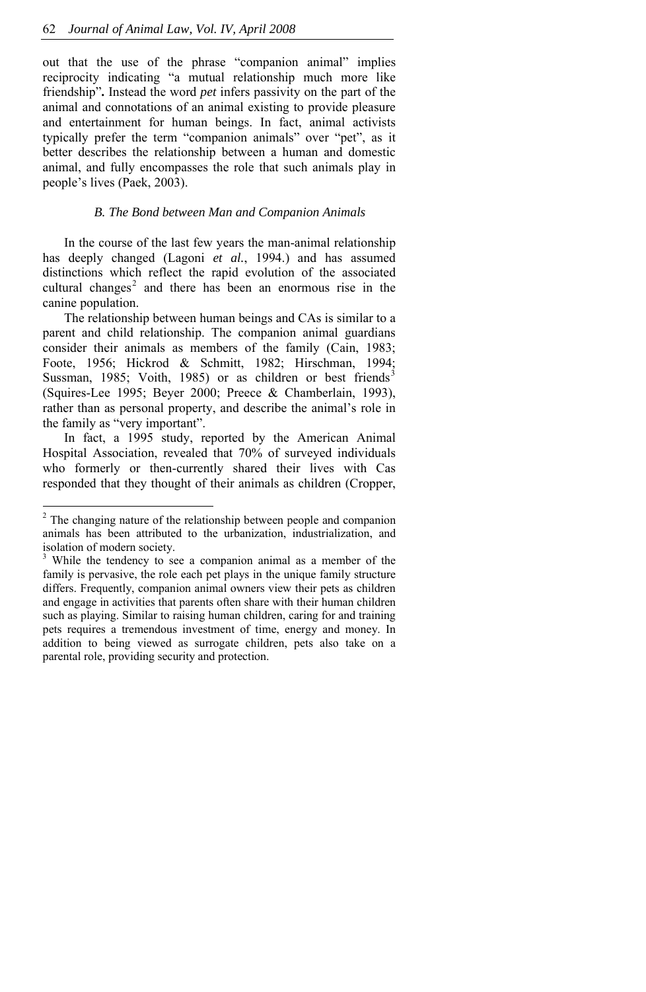<span id="page-3-0"></span>out that the use of the phrase "companion animal" implies reciprocity indicating "a mutual relationship much more like friendship"**.** Instead the word *pet* infers passivity on the part of the animal and connotations of an animal existing to provide pleasure and entertainment for human beings. In fact, animal activists typically prefer the term "companion animals" over "pet", as it better describes the relationship between a human and domestic animal, and fully encompasses the role that such animals play in people's lives (Paek, 2003).

#### *B. The Bond between Man and Companion Animals*

canine population. In the course of the last few years the man-animal relationship has deeply changed (Lagoni *et al.*, 1994.) and has assumed distinctions which reflect the rapid evolution of the associated cultural changes<sup>[2](#page-3-0)</sup> and there has been an enormous rise in the

The relationship between human beings and CAs is similar to a parent and child relationship. The companion animal guardians consider their animals as members of the family (Cain, 1983; Foote, 1956; Hickrod & Schmitt, 1982; Hirschman, 1994; Sussman, 1985; Voith, 1985) or as children or best friends<sup>[3](#page-3-0)</sup> (Squires-Lee 1995; Beyer 2000; Preece & Chamberlain, 1993), rather than as personal property, and describe the animal's role in the family as "very important".

In fact, a 1995 study, reported by the American Animal Hospital Association, revealed that 70% of surveyed individuals who formerly or then-currently shared their lives with Cas responded that they thought of their animals as children (Cropper,

j

<sup>&</sup>lt;sup>2</sup> The changing nature of the relationship between people and companion animals has been attributed to the urbanization, industrialization, and isolation of modern society.

<sup>&</sup>lt;sup>3</sup> While the tendency to see a companion animal as a member of the family is pervasive, the role each pet plays in the unique family structure differs. Frequently, companion animal owners view their pets as children and engage in activities that parents often share with their human children such as playing. Similar to raising human children, caring for and training pets requires a tremendous investment of time, energy and money. In addition to being viewed as surrogate children, pets also take on a parental role, providing security and protection.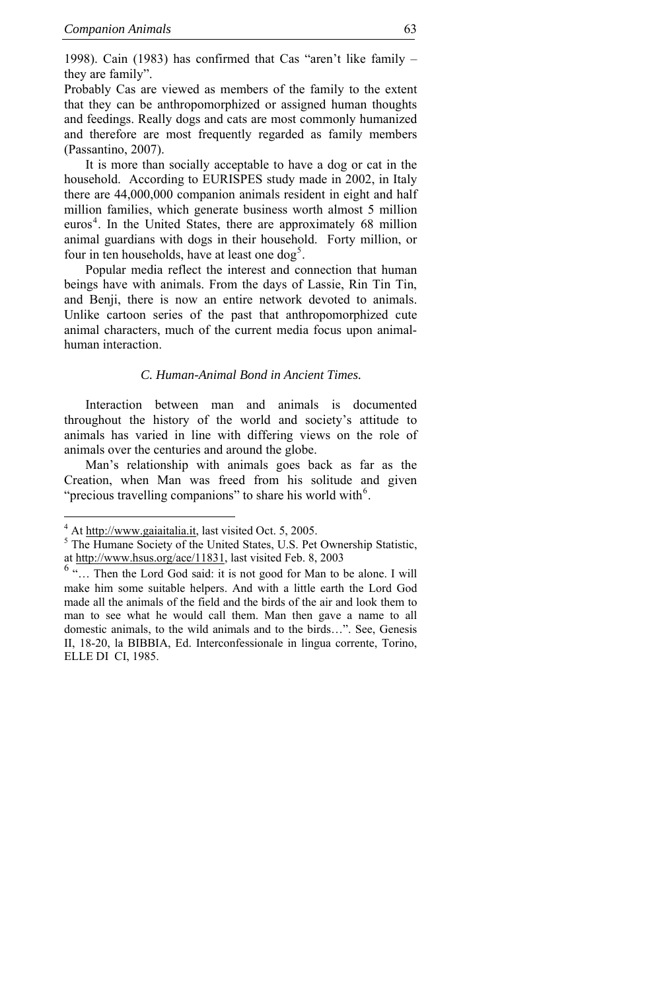<span id="page-4-0"></span>1998). Cain (1983) has confirmed that Cas "aren't like family – they are family".

Probably Cas are viewed as members of the family to the extent that they can be anthropomorphized or assigned human thoughts and feedings. Really dogs and cats are most commonly humanized and therefore are most frequently regarded as family members (Passantino, 2007).

It is more than socially acceptable to have a dog or cat in the household. According to EURISPES study made in 2002, in Italy there are 44,000,000 companion animals resident in eight and half million families, which generate business worth almost 5 million euros<sup>[4](#page-4-0)</sup>. In the United States, there are approximately 68 million animal guardians with dogs in their household. Forty million, or four in ten households, have at least one dog<sup>[5](#page-4-0)</sup>.

Popular media reflect the interest and connection that human beings have with animals. From the days of Lassie, Rin Tin Tin, and Benji, there is now an entire network devoted to animals. Unlike cartoon series of the past that anthropomorphized cute animal characters, much of the current media focus upon animalhuman interaction.

#### *C. Human-Animal Bond in Ancient Times.*

Interaction between man and animals is documented throughout the history of the world and society's attitude to animals has varied in line with differing views on the role of animals over the centuries and around the globe.

Man's relationship with animals goes back as far as the Creation, when Man was freed from his solitude and given "precious travelling companions" to share his world with $6$ .

 $\overline{a}$ 

 $^{4}$  At <u>http://www.gaiaitalia.it</u>, last visited Oct. 5, 2005.

<sup>&</sup>lt;sup>5</sup> The Humane Society of the United States, U.S. Pet Ownership Statistic, at [http://www.hsus.org/ace/11831,](http://www.hsus.org/ace/11831) last visited Feb. 8, 2003

 $6$  "... Then the Lord God said: it is not good for Man to be alone. I will make him some suitable helpers. And with a little earth the Lord God made all the animals of the field and the birds of the air and look them to man to see what he would call them. Man then gave a name to all domestic animals, to the wild animals and to the birds…". See, Genesis II, 18-20, la BIBBIA, Ed. Interconfessionale in lingua corrente, Torino, ELLE DI CI, 1985.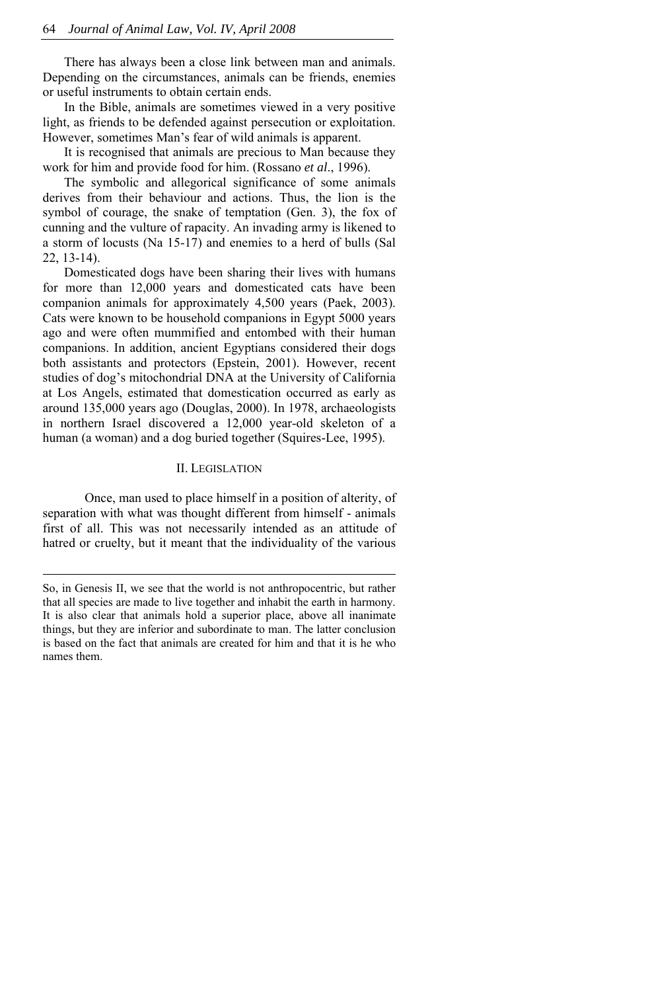There has always been a close link between man and animals. Depending on the circumstances, animals can be friends, enemies or useful instruments to obtain certain ends.

In the Bible, animals are sometimes viewed in a very positive light, as friends to be defended against persecution or exploitation. However, sometimes Man's fear of wild animals is apparent.

It is recognised that animals are precious to Man because they work for him and provide food for him. (Rossano *et al*., 1996).

The symbolic and allegorical significance of some animals derives from their behaviour and actions. Thus, the lion is the symbol of courage, the snake of temptation (Gen. 3), the fox of cunning and the vulture of rapacity. An invading army is likened to a storm of locusts (Na 15-17) and enemies to a herd of bulls (Sal 22, 13-14).

Domesticated dogs have been sharing their lives with humans for more than 12,000 years and domesticated cats have been companion animals for approximately 4,500 years (Paek, 2003). Cats were known to be household companions in Egypt 5000 years ago and were often mummified and entombed with their human companions. In addition, ancient Egyptians considered their dogs both assistants and protectors (Epstein, 2001). However, recent studies of dog's mitochondrial DNA at the University of California at Los Angels, estimated that domestication occurred as early as around 135,000 years ago (Douglas, 2000). In 1978, archaeologists in northern Israel discovered a 12,000 year-old skeleton of a human (a woman) and a dog buried together (Squires-Lee, 1995).

# II. LEGISLATION

Once, man used to place himself in a position of alterity, of separation with what was thought different from himself - animals first of all. This was not necessarily intended as an attitude of hatred or cruelty, but it meant that the individuality of the various

j

So, in Genesis II, we see that the world is not anthropocentric, but rather that all species are made to live together and inhabit the earth in harmony. It is also clear that animals hold a superior place, above all inanimate things, but they are inferior and subordinate to man. The latter conclusion is based on the fact that animals are created for him and that it is he who names them.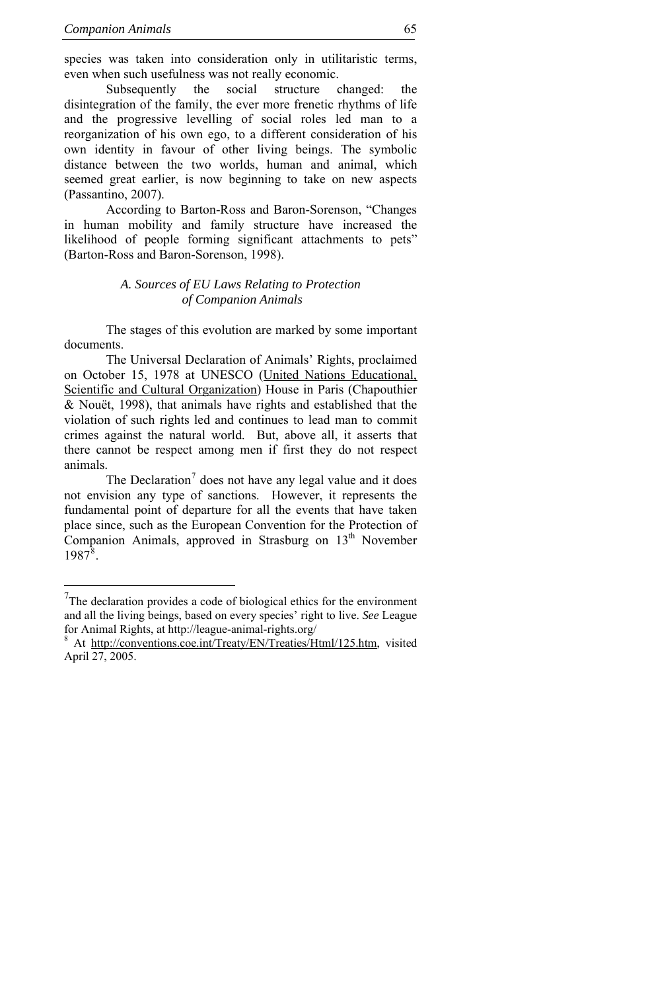<span id="page-6-0"></span>species was taken into consideration only in utilitaristic terms, even when such usefulness was not really economic.

Subsequently the social structure changed: the disintegration of the family, the ever more frenetic rhythms of life and the progressive levelling of social roles led man to a reorganization of his own ego, to a different consideration of his own identity in favour of other living beings. The symbolic distance between the two worlds, human and animal, which seemed great earlier, is now beginning to take on new aspects (Passantino, 2007).

According to Barton-Ross and Baron-Sorenson, "Changes in human mobility and family structure have increased the likelihood of people forming significant attachments to pets" (Barton-Ross and Baron-Sorenson, 1998).

# *A. Sources of EU Laws Relating to Protection of Companion Animals*

The stages of this evolution are marked by some important documents.

The Universal Declaration of Animals' Rights, proclaimed on October 15, 1978 at UNESCO ([United Nations Educational,](http://www.unesco.org/)  [Scientific and Cultural Organization](http://www.unesco.org/)) House in Paris (Chapouthier & Nouët, 1998), that animals have rights and established that the violation of such rights led and continues to lead man to commit crimes against the natural world. But, above all, it asserts that there cannot be respect among men if first they do not respect animals.

The Declaration<sup>[7](#page-6-0)</sup> does not have any legal value and it does not envision any type of sanctions. However, it represents the fundamental point of departure for all the events that have taken place since, such as the European Convention for the Protection of Companion Animals, approved in Strasburg on 13<sup>th</sup> November  $1987^8$  $1987^8$  $1987^8$ .

 $7$ The declaration provides a code of biological ethics for the environment and all the living beings, based on every species' right to live. *See* League for Animal Rights, at http://league-animal-rights.org/ 8

At [http://conventions.coe.int/Treaty/EN/Treaties/Html/125.htm,](http://conventions.coe.int/Treaty/EN/Treaties/Html/125.htm) visited April 27, 2005.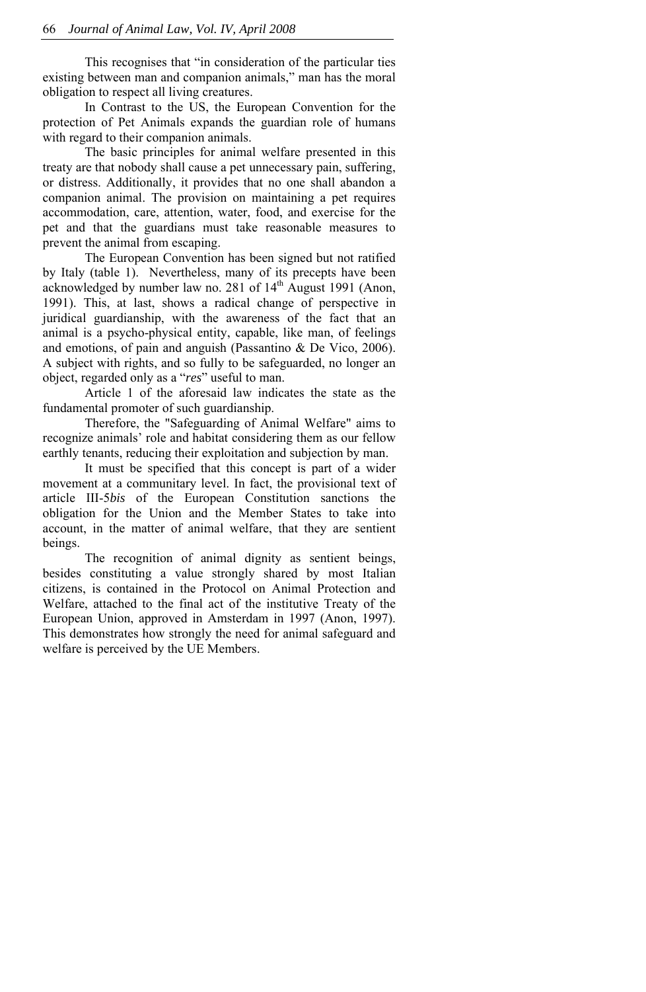This recognises that "in consideration of the particular ties existing between man and companion animals," man has the moral obligation to respect all living creatures.

In Contrast to the US, the European Convention for the protection of Pet Animals expands the guardian role of humans with regard to their companion animals.

The basic principles for animal welfare presented in this treaty are that nobody shall cause a pet unnecessary pain, suffering, or distress. Additionally, it provides that no one shall abandon a companion animal. The provision on maintaining a pet requires accommodation, care, attention, water, food, and exercise for the pet and that the guardians must take reasonable measures to prevent the animal from escaping.

The European Convention has been signed but not ratified by Italy (table 1). Nevertheless, many of its precepts have been acknowledged by number law no. 281 of 14<sup>th</sup> August 1991 (Anon, 1991). This, at last, shows a radical change of perspective in juridical guardianship, with the awareness of the fact that an animal is a psycho-physical entity, capable, like man, of feelings and emotions, of pain and anguish (Passantino & De Vico, 2006). A subject with rights, and so fully to be safeguarded, no longer an object, regarded only as a "*res*" useful to man.

Article 1 of the aforesaid law indicates the state as the fundamental promoter of such guardianship.

Therefore, the "Safeguarding of Animal Welfare" aims to recognize animals' role and habitat considering them as our fellow earthly tenants, reducing their exploitation and subjection by man.

It must be specified that this concept is part of a wider movement at a communitary level. In fact, the provisional text of article III-5*bis* of the European Constitution sanctions the obligation for the Union and the Member States to take into account, in the matter of animal welfare, that they are sentient beings.

The recognition of animal dignity as sentient beings, besides constituting a value strongly shared by most Italian citizens, is contained in the Protocol on Animal Protection and Welfare, attached to the final act of the institutive Treaty of the European Union, approved in Amsterdam in 1997 (Anon, 1997). This demonstrates how strongly the need for animal safeguard and welfare is perceived by the UE Members.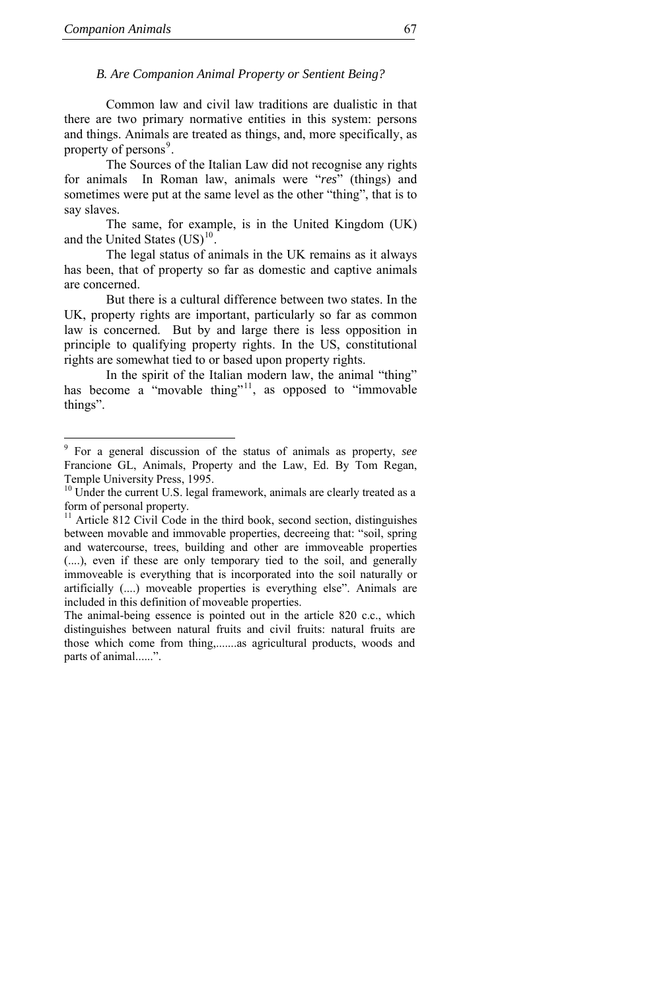j

# <span id="page-8-0"></span>*B. Are Companion Animal Property or Sentient Being?*

Common law and civil law traditions are dualistic in that there are two primary normative entities in this system: persons and things. Animals are treated as things, and, more specifically, as property of persons<sup>[9](#page-8-0)</sup>.

The Sources of the Italian Law did not recognise any rights for animals In Roman law, animals were "*res*" (things) and sometimes were put at the same level as the other "thing", that is to say slaves.

The same, for example, is in the United Kingdom (UK) and the United States  $(US)^{10}$  $(US)^{10}$  $(US)^{10}$ .

The legal status of animals in the UK remains as it always has been, that of property so far as domestic and captive animals are concerned.

But there is a cultural difference between two states. In the UK, property rights are important, particularly so far as common law is concerned. But by and large there is less opposition in principle to qualifying property rights. In the US, constitutional rights are somewhat tied to or based upon property rights.

In the spirit of the Italian modern law, the animal "thing" has become a "movable thing"<sup>[11](#page-8-0)</sup>, as opposed to "immovable things".

<sup>9</sup> For a general discussion of the status of animals as property, *see* Francione GL, Animals, Property and the Law, Ed. By Tom Regan, Temple University Press, 1995.

<sup>&</sup>lt;sup>10</sup> Under the current U.S. legal framework, animals are clearly treated as a form of personal property.

<sup>&</sup>lt;sup>11</sup> Article 812 Civil Code in the third book, second section, distinguishes between movable and immovable properties, decreeing that: "soil, spring and watercourse, trees, building and other are immoveable properties (....), even if these are only temporary tied to the soil, and generally immoveable is everything that is incorporated into the soil naturally or artificially (....) moveable properties is everything else". Animals are included in this definition of moveable properties.

The animal-being essence is pointed out in the article 820 c.c., which distinguishes between natural fruits and civil fruits: natural fruits are those which come from thing,.......as agricultural products, woods and parts of animal......".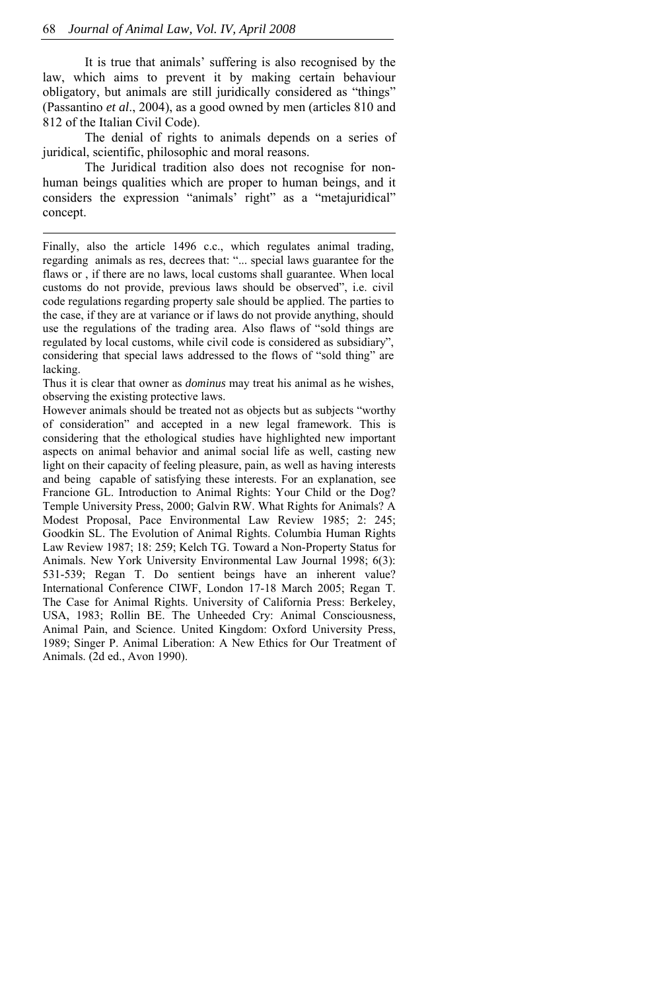It is true that animals' suffering is also recognised by the law, which aims to prevent it by making certain behaviour obligatory, but animals are still juridically considered as "things" (Passantino *et al*., 2004), as a good owned by men (articles 810 and 812 of the Italian Civil Code).

The denial of rights to animals depends on a series of juridical, scientific, philosophic and moral reasons.

The Juridical tradition also does not recognise for nonhuman beings qualities which are proper to human beings, and it considers the expression "animals' right" as a "metajuridical" concept.

Thus it is clear that owner as *dominus* may treat his animal as he wishes, observing the existing protective laws.

However animals should be treated not as objects but as subjects "worthy of consideration" and accepted in a new legal framework. This is considering that the ethological studies have highlighted new important aspects on animal behavior and animal social life as well, casting new light on their capacity of feeling pleasure, pain, as well as having interests and being capable of satisfying these interests. For an explanation, see Francione GL. Introduction to Animal Rights: Your Child or the Dog? Temple University Press, 2000; Galvin RW. What Rights for Animals? A Modest Proposal, Pace Environmental Law Review 1985; 2: 245; Goodkin SL. The Evolution of Animal Rights. Columbia Human Rights Law Review 1987; 18: 259; Kelch TG. Toward a Non-Property Status for Animals. New York University Environmental Law Journal 1998; 6(3): 531-539; Regan T. Do sentient beings have an inherent value? International Conference CIWF, London 17-18 March 2005; Regan T. The Case for Animal Rights. University of California Press: Berkeley, USA, 1983; Rollin BE. The Unheeded Cry: Animal Consciousness, Animal Pain, and Science. United Kingdom: Oxford University Press, 1989; Singer P. Animal Liberation: A New Ethics for Our Treatment of Animals. (2d ed., Avon 1990).

Finally, also the article 1496 c.c., which regulates animal trading, regarding animals as res, decrees that: "... special laws guarantee for the flaws or , if there are no laws, local customs shall guarantee. When local customs do not provide, previous laws should be observed", i.e. civil code regulations regarding property sale should be applied. The parties to the case, if they are at variance or if laws do not provide anything, should use the regulations of the trading area. Also flaws of "sold things are regulated by local customs, while civil code is considered as subsidiary", considering that special laws addressed to the flows of "sold thing" are lacking.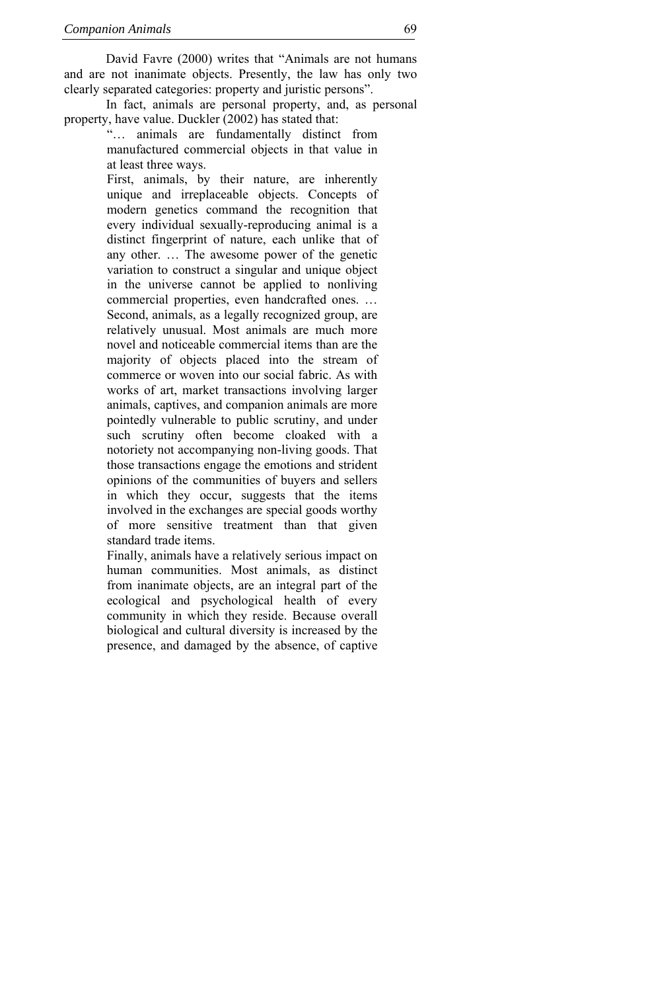David Favre (2000) writes that "Animals are not humans and are not inanimate objects. Presently, the law has only two clearly separated categories: property and juristic persons".

In fact, animals are personal property, and, as personal property, have value. Duckler (2002) has stated that:

"… animals are fundamentally distinct from manufactured commercial objects in that value in at least three ways.

First, animals, by their nature, are inherently unique and irreplaceable objects. Concepts of modern genetics command the recognition that every individual sexually-reproducing animal is a distinct fingerprint of nature, each unlike that of any other. … The awesome power of the genetic variation to construct a singular and unique object in the universe cannot be applied to nonliving commercial properties, even handcrafted ones. … Second, animals, as a legally recognized group, are relatively unusual. Most animals are much more novel and noticeable commercial items than are the majority of objects placed into the stream of commerce or woven into our social fabric. As with works of art, market transactions involving larger animals, captives, and companion animals are more pointedly vulnerable to public scrutiny, and under such scrutiny often become cloaked with a notoriety not accompanying non-living goods. That those transactions engage the emotions and strident opinions of the communities of buyers and sellers in which they occur, suggests that the items involved in the exchanges are special goods worthy of more sensitive treatment than that given standard trade items.

Finally, animals have a relatively serious impact on human communities. Most animals, as distinct from inanimate objects, are an integral part of the ecological and psychological health of every community in which they reside. Because overall biological and cultural diversity is increased by the presence, and damaged by the absence, of captive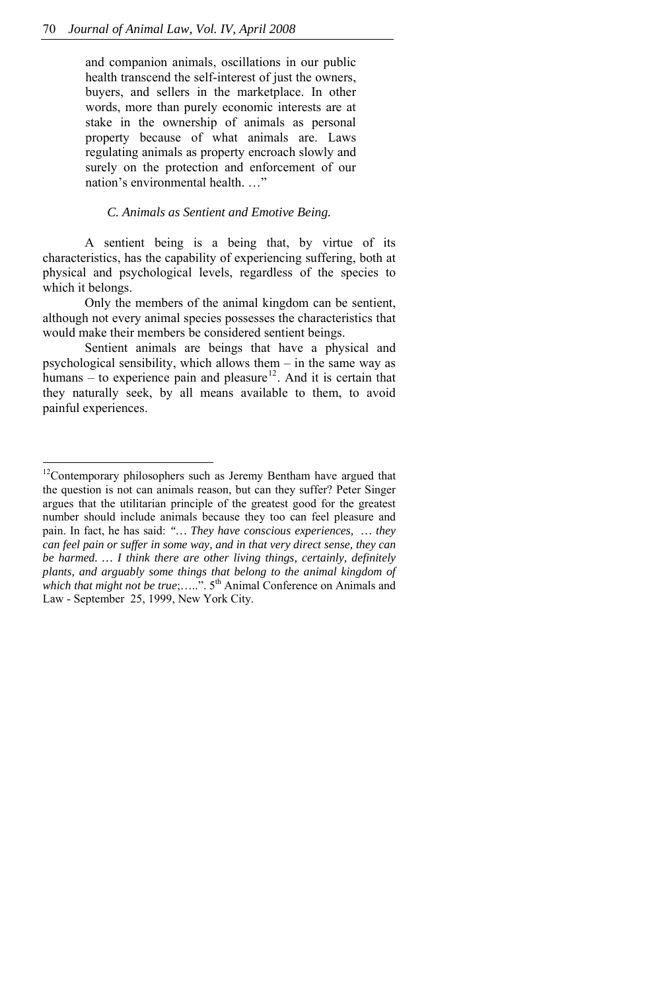<span id="page-11-0"></span>and companion animals, oscillations in our public health transcend the self-interest of just the owners, buyers, and sellers in the marketplace. In other words, more than purely economic interests are at stake in the ownership of animals as personal property because of what animals are. Laws regulating animals as property encroach slowly and surely on the protection and enforcement of our nation's environmental health. …"

# *C. Animals as Sentient and Emotive Being.*

A sentient being is a being that, by virtue of its characteristics, has the capability of experiencing suffering, both at physical and psychological levels, regardless of the species to which it belongs.

Only the members of the animal kingdom can be sentient, although not every animal species possesses the characteristics that would make their members be considered sentient beings.

Sentient animals are beings that have a physical and psychological sensibility, which allows them – in the same way as humans – to experience pain and pleasure<sup>[12](#page-11-0)</sup>. And it is certain that they naturally seek, by all means available to them, to avoid painful experiences.

 $\overline{a}$ 

 $12$ Contemporary philosophers such as Jeremy Bentham have argued that the question is not can animals reason, but can they suffer? Peter Singer argues that the utilitarian principle of the greatest good for the greatest number should include animals because they too can feel pleasure and pain. In fact, he has said: *"… They have conscious experiences, … they can feel pain or suffer in some way, and in that very direct sense, they can be harmed. … I think there are other living things, certainly, definitely plants, and arguably some things that belong to the animal kingdom of which that might not be true*;.....". 5<sup>th</sup> Animal Conference on Animals and Law - September 25, 1999, New York City.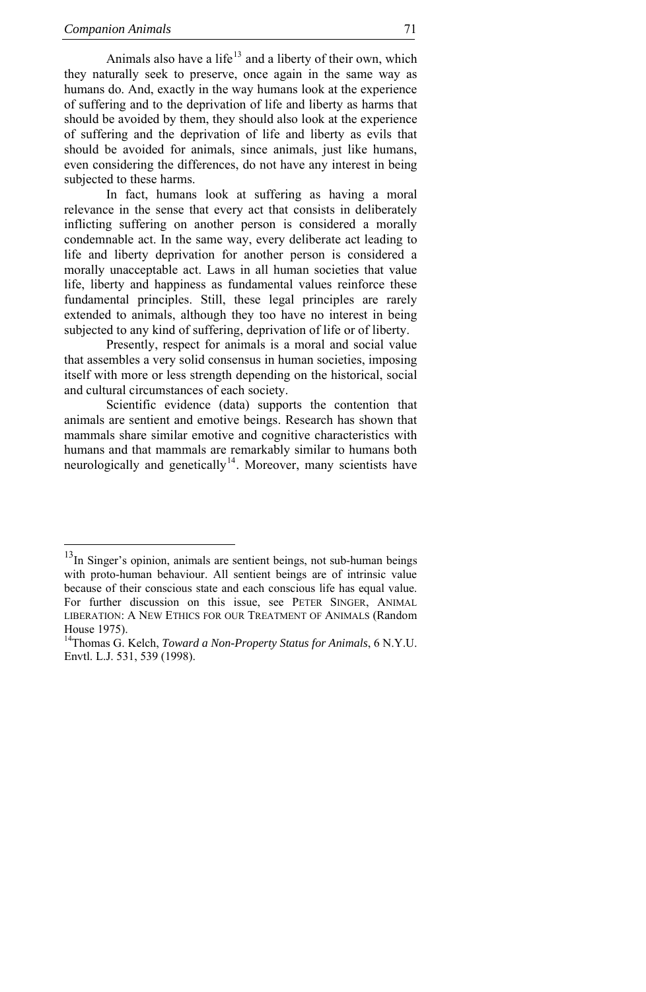j

<span id="page-12-0"></span>Animals also have a life $13$  and a liberty of their own, which they naturally seek to preserve, once again in the same way as humans do. And, exactly in the way humans look at the experience of suffering and to the deprivation of life and liberty as harms that should be avoided by them, they should also look at the experience of suffering and the deprivation of life and liberty as evils that should be avoided for animals, since animals, just like humans, even considering the differences, do not have any interest in being subjected to these harms.

In fact, humans look at suffering as having a moral relevance in the sense that every act that consists in deliberately inflicting suffering on another person is considered a morally condemnable act. In the same way, every deliberate act leading to life and liberty deprivation for another person is considered a morally unacceptable act. Laws in all human societies that value life, liberty and happiness as fundamental values reinforce these fundamental principles. Still, these legal principles are rarely extended to animals, although they too have no interest in being subjected to any kind of suffering, deprivation of life or of liberty.

Presently, respect for animals is a moral and social value that assembles a very solid consensus in human societies, imposing itself with more or less strength depending on the historical, social and cultural circumstances of each society.

Scientific evidence (data) supports the contention that animals are sentient and emotive beings. Research has shown that mammals share similar emotive and cognitive characteristics with humans and that mammals are remarkably similar to humans both neurologically and genetically<sup>[14](#page-12-0)</sup>. Moreover, many scientists have

 $13$ In Singer's opinion, animals are sentient beings, not sub-human beings with proto-human behaviour. All sentient beings are of intrinsic value because of their conscious state and each conscious life has equal value. For further discussion on this issue, see PETER SINGER, ANIMAL LIBERATION: A NEW ETHICS FOR OUR TREATMENT OF ANIMALS (Random House 1975).

<sup>14</sup>Thomas G. Kelch, *Toward a Non-Property Status for Animals*, 6 N.Y.U. Envtl. L.J. 531, 539 (1998).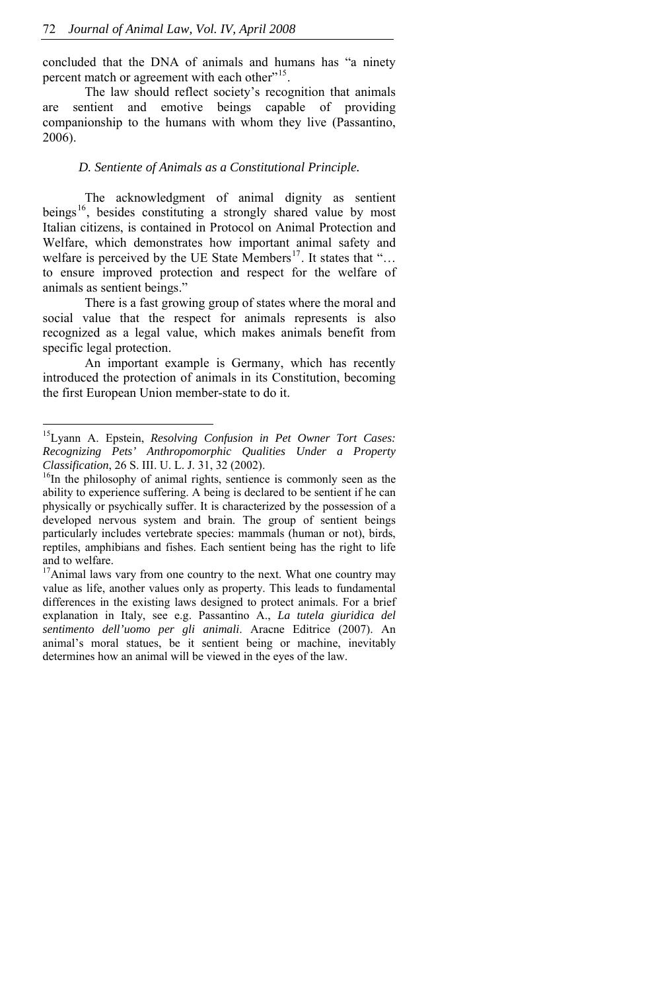<span id="page-13-0"></span>concluded that the DNA of animals and humans has "a ninety percent match or agreement with each other"<sup>[15](#page-13-0)</sup>.

The law should reflect society's recognition that animals are sentient and emotive beings capable of providing companionship to the humans with whom they live (Passantino, 2006).

## *D. Sentiente of Animals as a Constitutional Principle.*

The acknowledgment of animal dignity as sentient beings<sup>[16](#page-13-0)</sup>, besides constituting a strongly shared value by most Italian citizens, is contained in Protocol on Animal Protection and Welfare, which demonstrates how important animal safety and welfare is perceived by the UE State Members<sup>[17](#page-13-0)</sup>. It states that "... to ensure improved protection and respect for the welfare of animals as sentient beings."

There is a fast growing group of states where the moral and social value that the respect for animals represents is also recognized as a legal value, which makes animals benefit from specific legal protection.

An important example is Germany, which has recently introduced the protection of animals in its Constitution, becoming the first European Union member-state to do it.

j

<sup>15</sup>Lyann A. Epstein, *Resolving Confusion in Pet Owner Tort Cases: Recognizing Pets' Anthropomorphic Qualities Under a Property* 

<sup>&</sup>lt;sup>16</sup>In the [philosophy](http://en.wikipedia.org/wiki/Philosophy) of [animal rights](http://en.wikipedia.org/wiki/Animal_rights), sentience is commonly seen as the ability to experience [suffering.](http://en.wikipedia.org/wiki/Suffer) A being is declared to be sentient if he can physically or psychically suffer. It is characterized by the possession of a developed nervous system and brain. The group of sentient beings particularly includes vertebrate species: mammals (human or not), birds, reptiles, amphibians and fishes. Each sentient being has the right to life and to welfare.

<sup>&</sup>lt;sup>17</sup>Animal laws vary from one country to the next. What one country may value as life, another values only as property. This leads to fundamental differences in the existing laws designed to protect animals. For a brief explanation in Italy, see e.g. Passantino A., *La tutela giuridica del sentimento dell'uomo per gli animali*. Aracne Editrice (2007). An animal's moral statues, be it sentient being or machine, inevitably determines how an animal will be viewed in the eyes of the law.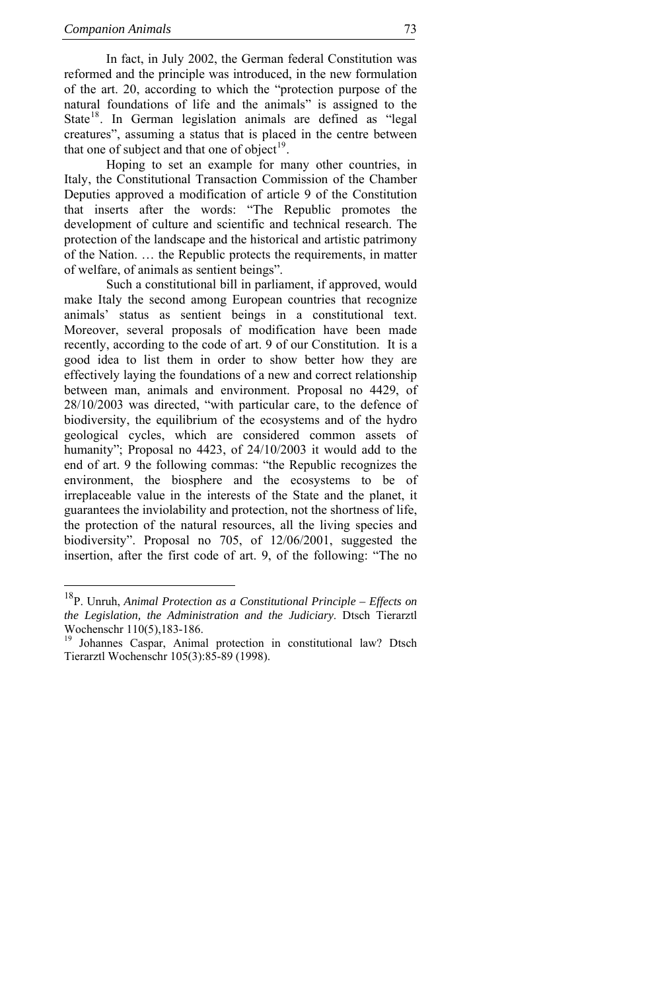<span id="page-14-0"></span>In fact, in July 2002, the German federal Constitution was reformed and the principle was introduced, in the new formulation of the art. 20, according to which the "protection purpose of the natural foundations of life and the animals" is assigned to the State<sup>[18](#page-14-0)</sup>. In German legislation animals are defined as "legal creatures", assuming a status that is placed in the centre between that one of subject and that one of object $19$ .

Hoping to set an example for many other countries, in Italy, the Constitutional Transaction Commission of the Chamber Deputies approved a modification of article 9 of the Constitution that inserts after the words: "The Republic promotes the development of culture and scientific and technical research. The protection of the landscape and the historical and artistic patrimony of the Nation. … the Republic protects the requirements, in matter of welfare, of animals as sentient beings".

Such a constitutional bill in parliament, if approved, would make Italy the second among European countries that recognize animals' status as sentient beings in a constitutional text. Moreover, several proposals of modification have been made recently, according to the code of art. 9 of our Constitution. It is a good idea to list them in order to show better how they are effectively laying the foundations of a new and correct relationship between man, animals and environment. Proposal no 4429, of 28/10/2003 was directed, "with particular care, to the defence of biodiversity, the equilibrium of the ecosystems and of the hydro geological cycles, which are considered common assets of humanity"; Proposal no 4423, of 24/10/2003 it would add to the end of art. 9 the following commas: "the Republic recognizes the environment, the biosphere and the ecosystems to be of irreplaceable value in the interests of the State and the planet, it guarantees the inviolability and protection, not the shortness of life, the protection of the natural resources, all the living species and biodiversity". Proposal no 705, of 12/06/2001, suggested the insertion, after the first code of art. 9, of the following: "The no

<sup>18</sup>P. Unruh, *Animal Protection as a Constitutional Principle – Effects on the Legislation, the Administration and the Judiciary*. Dtsch Tierarztl Wochenschr 110(5),183-186.

<sup>&</sup>lt;sup>19</sup> Johannes Caspar, Animal protection in constitutional law? Dtsch Tierarztl Wochenschr 105(3):85-89 (1998).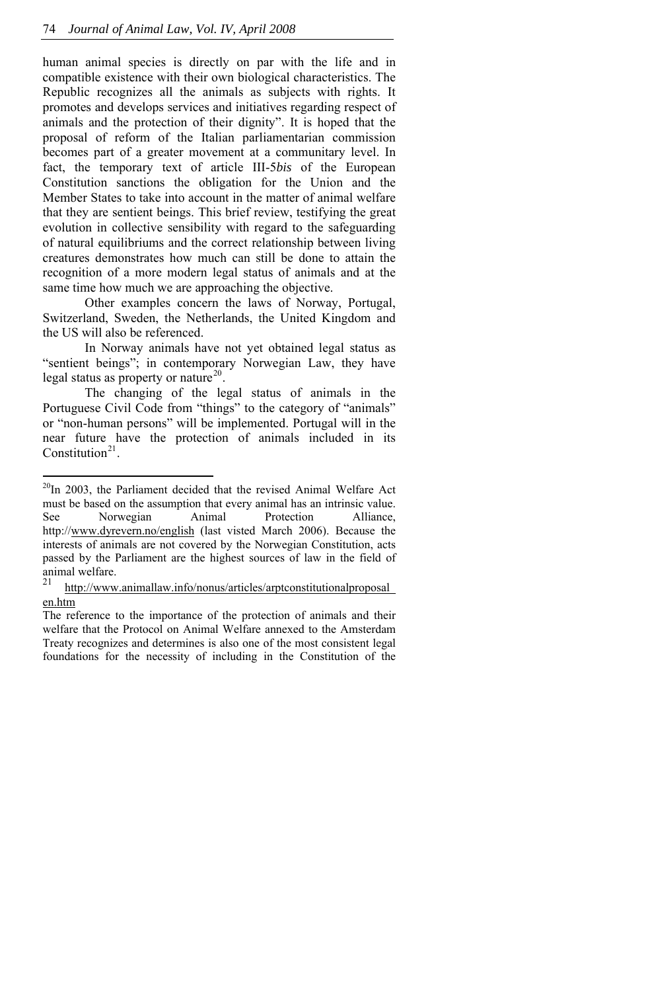<span id="page-15-0"></span>human animal species is directly on par with the life and in compatible existence with their own biological characteristics. The Republic recognizes all the animals as subjects with rights. It promotes and develops services and initiatives regarding respect of animals and the protection of their dignity". It is hoped that the proposal of reform of the Italian parliamentarian commission becomes part of a greater movement at a communitary level. In fact, the temporary text of article III-5*bis* of the European Constitution sanctions the obligation for the Union and the Member States to take into account in the matter of animal welfare that they are sentient beings. This brief review, testifying the great evolution in collective sensibility with regard to the safeguarding of natural equilibriums and the correct relationship between living creatures demonstrates how much can still be done to attain the recognition of a more modern legal status of animals and at the same time how much we are approaching the objective.

Other examples concern the laws of Norway, Portugal, Switzerland, Sweden, the Netherlands, the United Kingdom and the US will also be referenced.

In Norway animals have not yet obtained legal status as "sentient beings"; in contemporary Norwegian Law, they have legal status as property or nature<sup>[20](#page-15-0)</sup>.

The changing of the legal status of animals in the Portuguese Civil Code from "things" to the category of "animals" or "non-human persons" will be implemented. Portugal will in the near future have the protection of animals included in its Constitution<sup>[21](#page-15-0)</sup>

j

<sup>&</sup>lt;sup>20</sup>In 2003, the Parliament decided that the revised Animal Welfare Act must be based on the assumption that every animal has an intrinsic value. See Norwegian Animal Protection Alliance, http://[www.dyrevern.no/english](http://www.dyrevern.no/english) (last visted March 2006). Because the interests of animals are not covered by the Norwegian Constitution, acts passed by the Parliament are the highest sources of law in the field of animal welfare.

http://www.animallaw.info/nonus/articles/arptconstitutionalproposal [en.htm](http://www.animallaw.info/nonus/articles/arptconstitutionalproposal_%20en.htm)

The reference to the importance of the protection of animals and their welfare that the Protocol on Animal Welfare annexed to the Amsterdam Treaty recognizes and determines is also one of the most consistent legal foundations for the necessity of including in the Constitution of the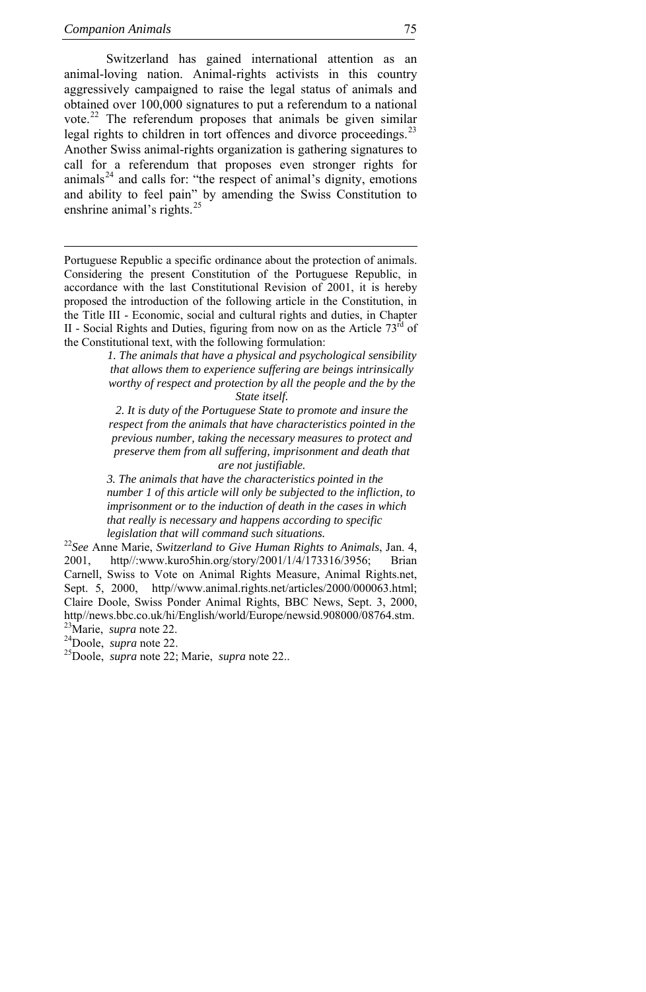<span id="page-16-0"></span>Switzerland has gained international attention as an animal-loving nation. Animal-rights activists in this country aggressively campaigned to raise the legal status of animals and obtained over 100,000 signatures to put a referendum to a national vote.<sup>[22](#page-16-0)</sup> The referendum proposes that animals be given similar legal rights to children in tort offences and divorce proceedings.<sup>[23](#page-16-0)</sup> Another Swiss animal-rights organization is gathering signatures to call for a referendum that proposes even stronger rights for animals<sup>[24](#page-16-0)</sup> and calls for: "the respect of animal's dignity, emotions and ability to feel pain" by amending the Swiss Constitution to enshrine animal's rights.<sup>[25](#page-16-0)</sup>

Portuguese Republic a specific ordinance about the protection of animals. Considering the present Constitution of the Portuguese Republic, in accordance with the last Constitutional Revision of 2001, it is hereby proposed the introduction of the following article in the Constitution, in the Title III - Economic, social and cultural rights and duties, in Chapter II - Social Rights and Duties, figuring from now on as the Article  $73<sup>rd</sup>$  of the Constitutional text, with the following formulation:

> *1. The animals that have a physical and psychological sensibility that allows them to experience suffering are beings intrinsically worthy of respect and protection by all the people and the by the State itself.*

> *2. It is duty of the Portuguese State to promote and insure the respect from the animals that have characteristics pointed in the previous number, taking the necessary measures to protect and preserve them from all suffering, imprisonment and death that are not justifiable.*

> *3. The animals that have the characteristics pointed in the number 1 of this article will only be subjected to the infliction, to imprisonment or to the induction of death in the cases in which that really is necessary and happens according to specific*

<sup>22</sup> See Anne Marie, *Switzerland to Give Human Rights to Animals*, Jan. 4, 2001, http//:www.kuro5hin.org/story/2001/1/4/173316/3956; Brian Carnell, Swiss to Vote on Animal Rights Measure, Animal Rights.net, Sept. 5, 2000, http//www.animal.rights.net/articles/2000/000063.html; Claire Doole, Swiss Ponder Animal Rights, BBC News, Sept. 3, 2000, http//news.bbc.co.uk/hi/English/world/Europe/newsid.908000/08764.stm.<br><sup>23</sup>Marie. *supra* note 22.

<sup>24</sup>Doole, *supra* note 22.<br><sup>25</sup>Doole, *supra* note 22; Marie, *supra* note 22..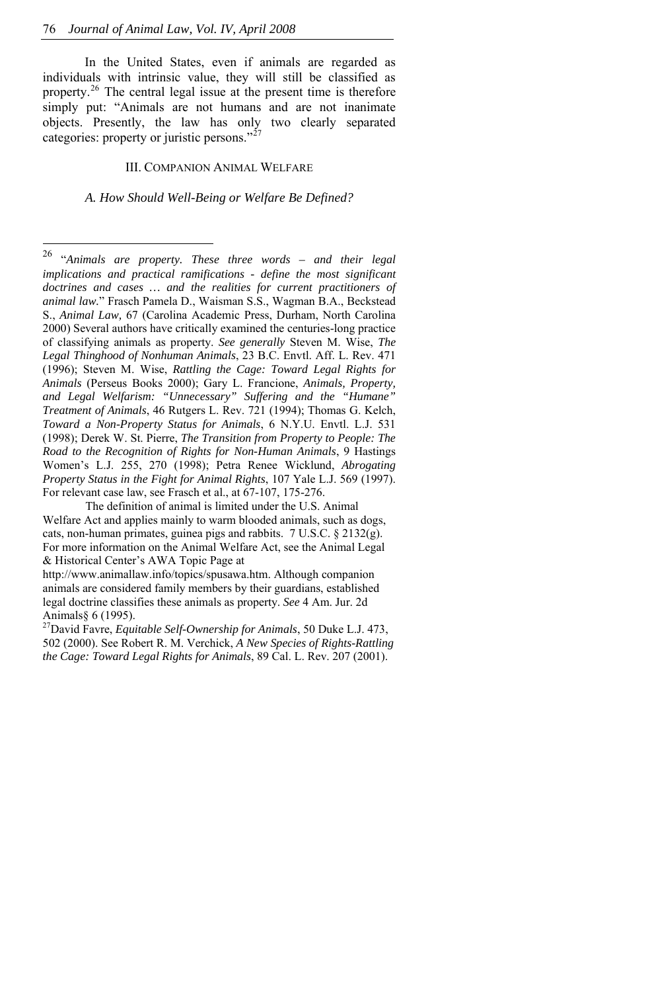<span id="page-17-0"></span>In the United States, even if animals are regarded as individuals with intrinsic value, they will still be classified as property.[26](#page-17-0) The central legal issue at the present time is therefore simply put: "Animals are not humans and are not inanimate objects. Presently, the law has only two clearly separated categories: property or juristic persons."<sup>[27](#page-17-0)</sup>

#### III. COMPANION ANIMAL WELFARE

*A. How Should Well-Being or Welfare Be Defined?* 

<sup>26</sup> 26 "*Animals are property. These three words – and their legal implications and practical ramifications - define the most significant doctrines and cases … and the realities for current practitioners of animal law.*" Frasch Pamela D., Waisman S.S., Wagman B.A., Beckstead S., *Animal Law,* 67 (Carolina Academic Press, Durham, North Carolina 2000) Several authors have critically examined the centuries-long practice of classifying animals as property. *See generally* Steven M. Wise, *The Legal Thinghood of Nonhuman Animals*, 23 B.C. Envtl. Aff. L. Rev. 471 (1996); Steven M. Wise, *Rattling the Cage: Toward Legal Rights for Animals* (Perseus Books 2000); Gary L. Francione, *Animals, Property, and Legal Welfarism: "Unnecessary" Suffering and the "Humane" Treatment of Animals*, 46 Rutgers L. Rev. 721 (1994); Thomas G. Kelch, *Toward a Non-Property Status for Animals*, 6 N.Y.U. Envtl. L.J. 531 (1998); Derek W. St. Pierre, *The Transition from Property to People: The Road to the Recognition of Rights for Non-Human Animals*, 9 Hastings Women's L.J. 255, 270 (1998); Petra Renee Wicklund, *Abrogating Property Status in the Fight for Animal Rights*, 107 Yale L.J. 569 (1997). For relevant case law, see Frasch et al., at 67-107, 175-276.

The definition of animal is limited under the U.S. Animal Welfare Act and applies mainly to warm blooded animals, such as dogs, cats, non-human primates, guinea pigs and rabbits. 7 U.S.C. § 2132(g). For more information on the Animal Welfare Act, see the Animal Legal & Historical Center's AWA Topic Page at

http://www.animallaw.info/topics/spusawa.htm. Although companion animals are considered family members by their guardians, established legal doctrine classifies these animals as property. *See* 4 Am. Jur. 2d Animals§ 6 (1995). 27David Favre, *Equitable Self-Ownership for Animals*, 50 Duke L.J. 473,

<sup>502 (2000).</sup> See Robert R. M. Verchick, *A New Species of Rights-Rattling the Cage: Toward Legal Rights for Animals*, 89 Cal. L. Rev. 207 (2001).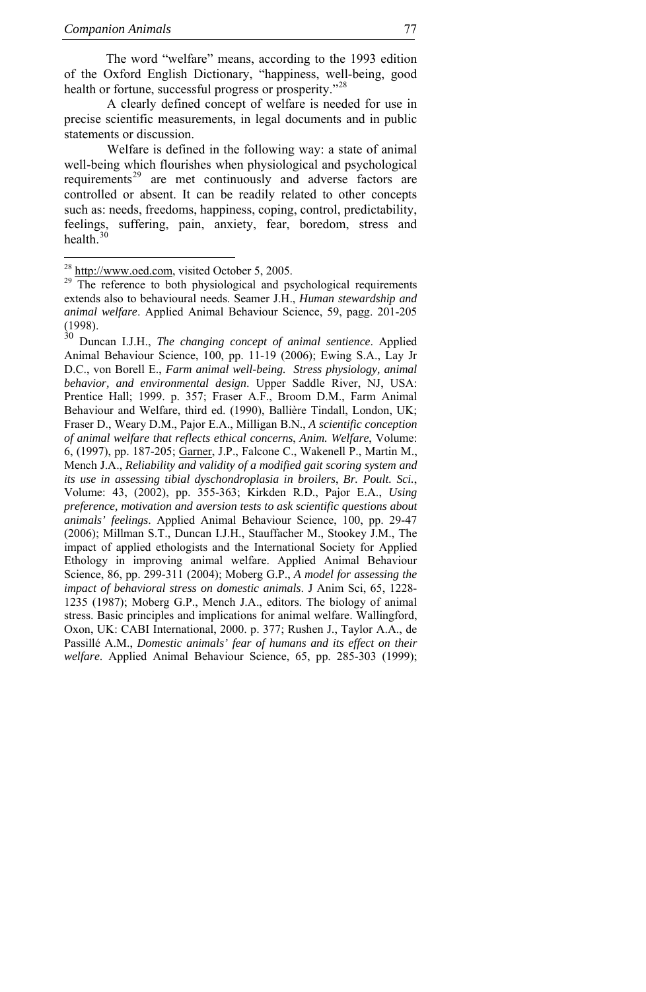<span id="page-18-0"></span>The word "welfare" means, according to the 1993 edition of the Oxford English Dictionary, "happiness, well-being, good health or fortune, successful progress or prosperity."<sup>[28](#page-18-0)</sup>

 A clearly defined concept of welfare is needed for use in precise scientific measurements, in legal documents and in public statements or discussion.

 Welfare is defined in the following way: a state of animal well-being which flourishes when physiological and psychological requirements<sup>[29](#page-18-0)</sup> are met continuously and adverse factors are controlled or absent. It can be readily related to other concepts such as: needs, freedoms, happiness, coping, control, predictability, feelings, suffering, pain, anxiety, fear, boredom, stress and health.

30 Duncan I.J.H., *The changing concept of animal sentience*. Applied Animal Behaviour Science, 100, pp. 11-19 (2006); Ewing S.A., Lay Jr D.C., von Borell E., *Farm animal well-being. Stress physiology, animal behavior, and environmental design*. Upper Saddle River, NJ, USA: Prentice Hall; 1999. p. 357; Fraser A.F., Broom D.M., Farm Animal Behaviour and Welfare, third ed. (1990), Ballière Tindall, London, UK; Fraser D., Weary D.M., Pajor E.A., Milligan B.N., *A scientific conception of animal welfare that reflects ethical concerns*, *Anim. Welfare*, Volume: 6, (1997), pp. 187-205; [Garner](http://periodici.caspur.it/cgi-bin/sciserv.pl?collection=journals&journal=01681591&issue=v86i3-4&article=299_tioaeaaeiiaw&form=fulltext#BIB17-BACK#BIB17-BACK), J.P., Falcone C., Wakenell P., Martin M., Mench J.A., *Reliability and validity of a modified gait scoring system and its use in assessing tibial dyschondroplasia in broilers*, *Br. Poult. Sci.*, Volume: 43, (2002), pp. 355-363; Kirkden R.D., Pajor E.A., *Using preference, motivation and aversion tests to ask scientific questions about animals' feelings*. Applied Animal Behaviour Science, 100, pp. 29-47 (2006); Millman S.T., Duncan I.J.H., Stauffacher M., Stookey J.M., The impact of applied ethologists and the International Society for Applied Ethology in improving animal welfare. Applied Animal Behaviour Science, 86, pp. 299-311 (2004); Moberg G.P., *A model for assessing the impact of behavioral stress on domestic animals*. J Anim Sci, 65, 1228- 1235 (1987); Moberg G.P., Mench J.A., editors. The biology of animal stress. Basic principles and implications for animal welfare. Wallingford, Oxon, UK: CABI International, 2000. p. 377; Rushen J., Taylor A.A., de Passillé A.M., *Domestic animals' fear of humans and its effect on their welfare*. Applied Animal Behaviour Science, 65, pp. 285-303 (1999);

<sup>&</sup>lt;sup>28</sup> http://www.oed.com, visited October 5, 2005.

The reference to both physiological and psychological requirements extends also to behavioural needs. Seamer J.H., *Human stewardship and animal welfare*. Applied Animal Behaviour Science, 59, pagg. 201-205 (1998).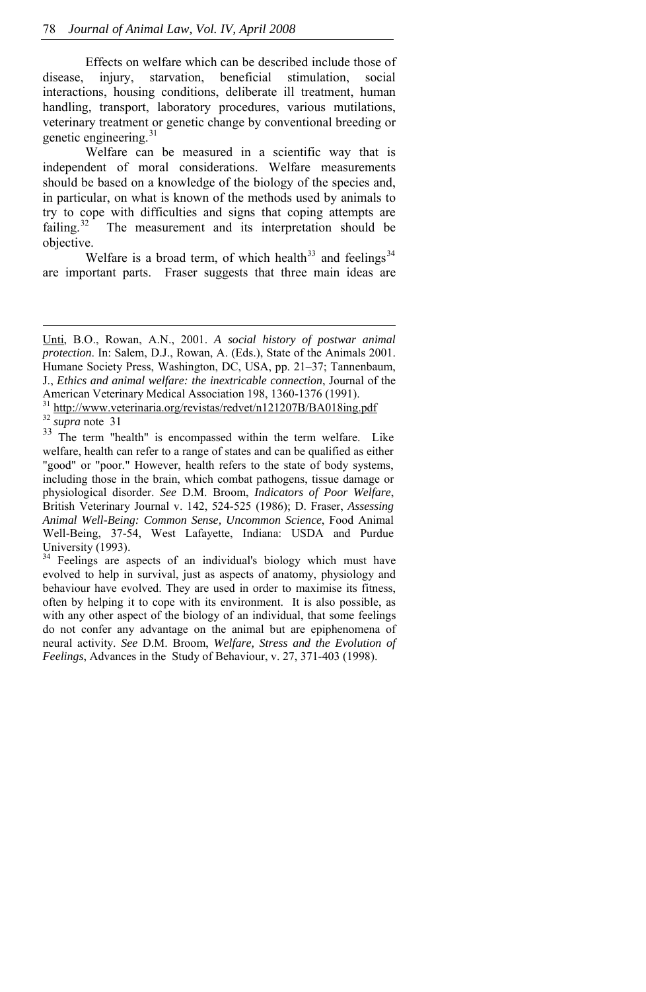<span id="page-19-0"></span> Effects on welfare which can be described include those of disease, injury, starvation, beneficial stimulation, social interactions, housing conditions, deliberate ill treatment, human handling, transport, laboratory procedures, various mutilations, veterinary treatment or genetic change by conventional breeding or genetic engineering.<sup>[31](#page-19-0)</sup>

 Welfare can be measured in a scientific way that is independent of moral considerations. Welfare measurements should be based on a knowledge of the biology of the species and, in particular, on what is known of the methods used by animals to try to cope with difficulties and signs that coping attempts are failing.<sup>[32](#page-19-0)</sup> The measurement and its interpretation should be objective.

Welfare is a broad term, of which health<sup>[33](#page-19-0)</sup> and feelings<sup>[34](#page-19-0)</sup> are important parts. Fraser suggests that three main ideas are

j

[Unti](http://periodici.caspur.it/cgi-bin/sciserv.pl?collection=journals&journal=01681591&issue=v86i3-4&article=299_tioaeaaeiiaw&form=fulltext#BIB31-BACK#BIB31-BACK), B.O., Rowan, A.N., 2001. *A social history of postwar animal protection*. In: Salem, D.J., Rowan, A. (Eds.), State of the Animals 2001. Humane Society Press, Washington, DC, USA, pp. 21–37; Tannenbaum, J., *Ethics and animal welfare: the inextricable connection*, Journal of the

American Veterinary Medical Association 198, 1360-1376 (1991).<br><sup>31</sup> http://www.veterinaria.org/revistas/redvet/n121207B/BA018ing.pdf<br><sup>32</sup> *supra* note 31<br><sup>33</sup> The term "health" is encompassed within the term welfare. Like

welfare, health can refer to a range of states and can be qualified as either "good" or "poor." However, health refers to the state of body systems, including those in the brain, which combat pathogens, tissue damage or physiological disorder. *See* D.M. Broom, *Indicators of Poor Welfare*, British Veterinary Journal v. 142, 524-525 (1986); D. Fraser, *Assessing Animal Well-Being: Common Sense, Uncommon Science*, Food Animal Well-Being, 37-54, West Lafayette, Indiana: USDA and Purdue

University (1993).  $34$  Feelings are aspects of an individual's biology which must have evolved to help in survival, just as aspects of anatomy, physiology and behaviour have evolved. They are used in order to maximise its fitness, often by helping it to cope with its environment. It is also possible, as with any other aspect of the biology of an individual, that some feelings do not confer any advantage on the animal but are epiphenomena of neural activity. *See* D.M. Broom, *Welfare, Stress and the Evolution of Feelings*, Advances in the Study of Behaviour, v. 27, 371-403 (1998).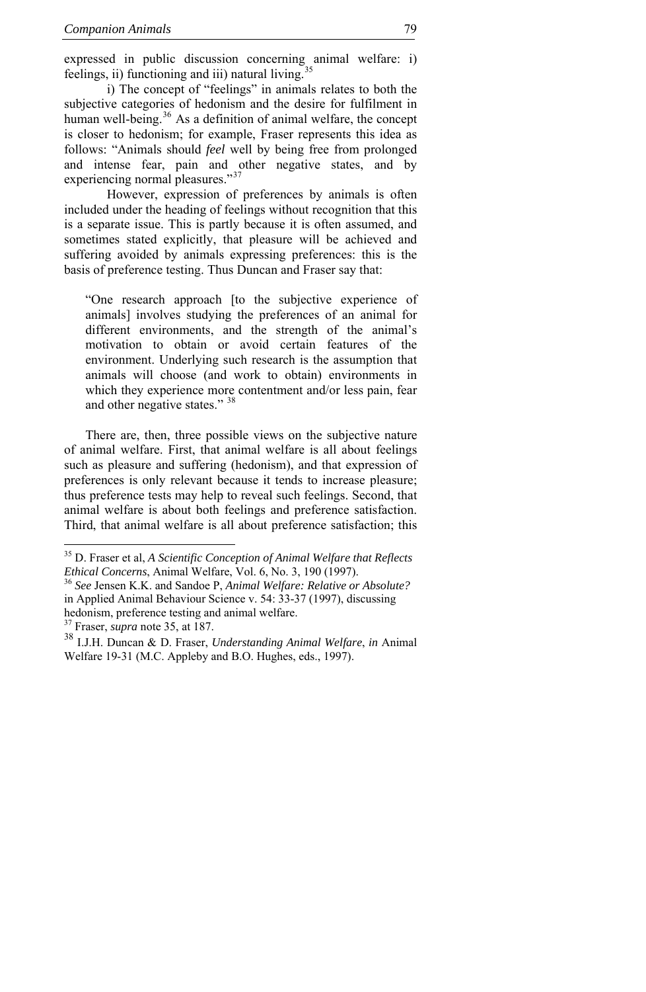<span id="page-20-0"></span>expressed in public discussion concerning animal welfare: i) feelings, ii) functioning and iii) natural living.

 i) The concept of "feelings" in animals relates to both the subjective categories of hedonism and the desire for fulfilment in human well-being.<sup>[36](#page-20-0)</sup> As a definition of animal welfare, the concept is closer to hedonism; for example, Fraser represents this idea as follows: "Animals should *feel* well by being free from prolonged and intense fear, pain and other negative states, and by experiencing normal pleasures."<sup>[37](#page-20-0)</sup>

 However, expression of preferences by animals is often included under the heading of feelings without recognition that this is a separate issue. This is partly because it is often assumed, and sometimes stated explicitly, that pleasure will be achieved and suffering avoided by animals expressing preferences: this is the basis of preference testing. Thus Duncan and Fraser say that:

"One research approach [to the subjective experience of animals] involves studying the preferences of an animal for different environments, and the strength of the animal's motivation to obtain or avoid certain features of the environment. Underlying such research is the assumption that animals will choose (and work to obtain) environments in which they experience more contentment and/or less pain, fear and other negative states." [38](#page-20-0)

There are, then, three possible views on the subjective nature of animal welfare. First, that animal welfare is all about feelings such as pleasure and suffering (hedonism), and that expression of preferences is only relevant because it tends to increase pleasure; thus preference tests may help to reveal such feelings. Second, that animal welfare is about both feelings and preference satisfaction. Third, that animal welfare is all about preference satisfaction; this

j

<sup>35</sup> D. Fraser et al, *A Scientific Conception of Animal Welfare that Reflects Ethical Concerns*, Animal Welfare, Vol. 6, No. 3, 190 (1997). 36 *See* Jensen K.K. and Sandoe P, *Animal Welfare: Relative or Absolute?*

in Applied Animal Behaviour Science v. 54: 33-37 (1997), discussing hedonism, preference testing and animal welfare.<br><sup>37</sup> Fraser, *supra* note 35, at 187.

<sup>&</sup>lt;sup>38</sup> I.J.H. Duncan & D. Fraser, *Understanding Animal Welfare*, *in* Animal Welfare 19-31 (M.C. Appleby and B.O. Hughes, eds., 1997).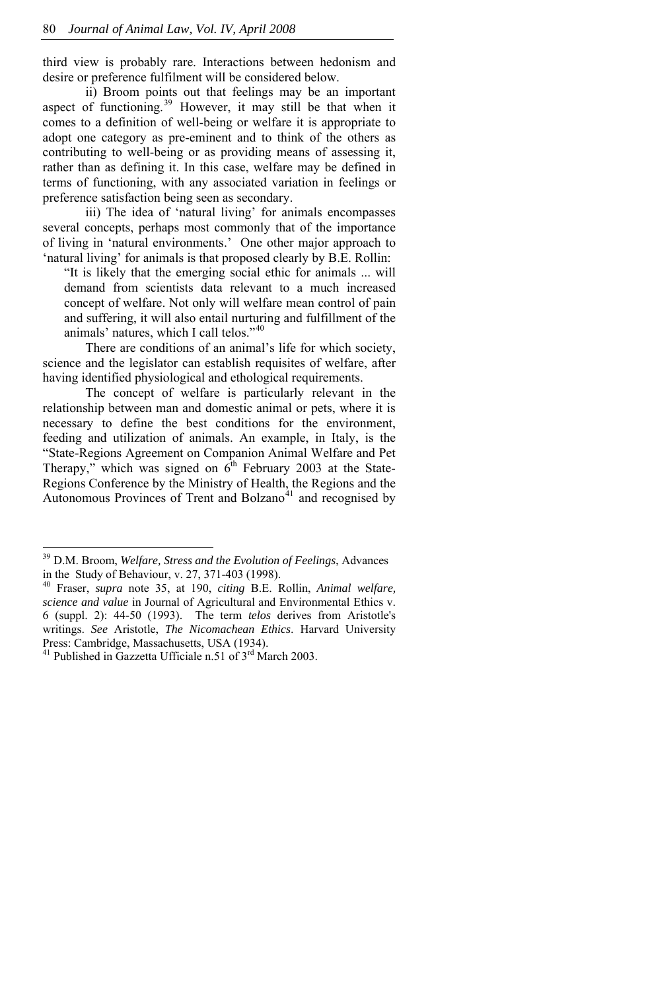<span id="page-21-0"></span>third view is probably rare. Interactions between hedonism and desire or preference fulfilment will be considered below.

 ii) Broom points out that feelings may be an important aspect of functioning.<sup>[39](#page-21-0)</sup> However, it may still be that when it comes to a definition of well-being or welfare it is appropriate to adopt one category as pre-eminent and to think of the others as contributing to well-being or as providing means of assessing it, rather than as defining it. In this case, welfare may be defined in terms of functioning, with any associated variation in feelings or preference satisfaction being seen as secondary.

 iii) The idea of 'natural living' for animals encompasses several concepts, perhaps most commonly that of the importance of living in 'natural environments.' One other major approach to 'natural living' for animals is that proposed clearly by B.E. Rollin:

"It is likely that the emerging social ethic for animals ... will demand from scientists data relevant to a much increased concept of welfare. Not only will welfare mean control of pain and suffering, it will also entail nurturing and fulfillment of the animals' natures, which I call telos."[40](#page-21-0)

There are conditions of an animal's life for which society, science and the legislator can establish requisites of welfare, after having identified physiological and ethological requirements.

The concept of welfare is particularly relevant in the relationship between man and domestic animal or pets, where it is necessary to define the best conditions for the environment, feeding and utilization of animals. An example, in Italy, is the "State-Regions Agreement on Companion Animal Welfare and Pet Therapy," which was signed on  $6<sup>th</sup>$  February 2003 at the State-Regions Conference by the Ministry of Health, the Regions and the Autonomous Provinces of Trent and Bolzano<sup>[41](#page-21-0)</sup> and recognised by

 $\overline{a}$ 

<sup>39</sup> D.M. Broom, *Welfare, Stress and the Evolution of Feelings*, Advances in the Study of Behaviour, v. 27, 371-403 (1998).

<sup>40</sup> Fraser, *supra* note 35, at 190, *citing* B.E. Rollin, *Animal welfare, science and value* in Journal of Agricultural and Environmental Ethics v. 6 (suppl. 2): 44-50 (1993). The term *telos* derives from Aristotle's writings. *See* Aristotle, *The Nicomachean Ethics*. Harvard University Press: Cambridge, Massachusetts, USA (1934).

<sup>&</sup>lt;sup>41</sup> Published in Gazzetta Ufficiale n.51 of  $3<sup>rd</sup>$  March 2003.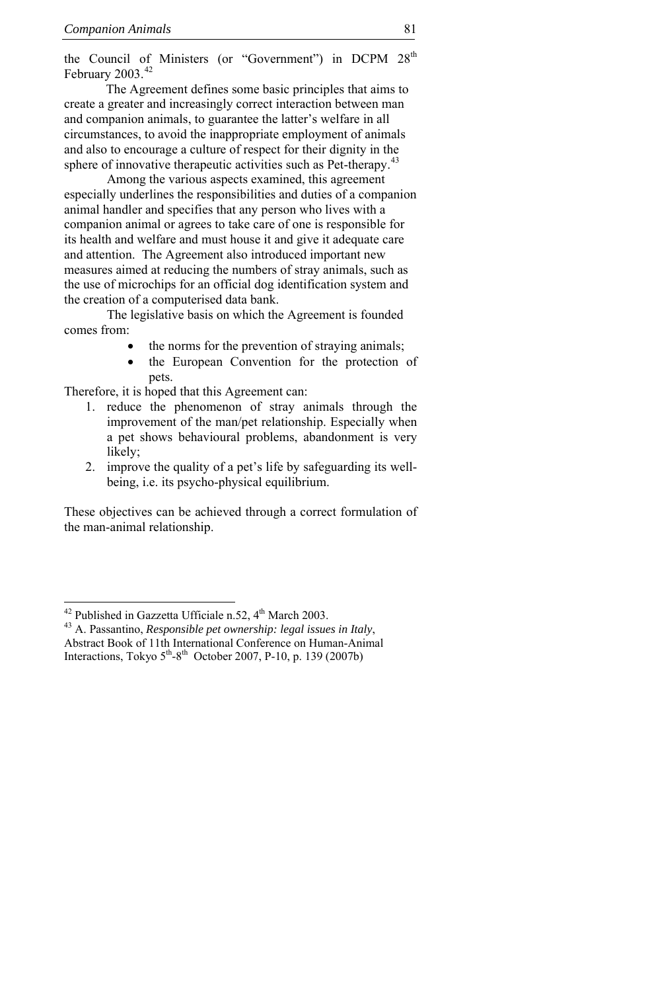<span id="page-22-0"></span>the Council of Ministers (or "Government") in DCPM 28<sup>th</sup> February 2003.<sup>[42](#page-22-0)</sup>

The Agreement defines some basic principles that aims to create a greater and increasingly correct interaction between man and companion animals, to guarantee the latter's welfare in all circumstances, to avoid the inappropriate employment of animals and also to encourage a culture of respect for their dignity in the sphere of innovative therapeutic activities such as Pet-therapy.<sup>4</sup>

 Among the various aspects examined, this agreement especially underlines the responsibilities and duties of a companion animal handler and specifies that any person who lives with a companion animal or agrees to take care of one is responsible for its health and welfare and must house it and give it adequate care and attention. The Agreement also introduced important new measures aimed at reducing the numbers of stray animals, such as the use of microchips for an official dog identification system and the creation of a computerised data bank.

 The legislative basis on which the Agreement is founded comes from:

- the norms for the prevention of straying animals;
- the European Convention for the protection of pets.

Therefore, it is hoped that this Agreement can:

- 1. reduce the phenomenon of stray animals through the improvement of the man/pet relationship. Especially when a pet shows behavioural problems, abandonment is very likely;
- 2. improve the quality of a pet's life by safeguarding its wellbeing, i.e. its psycho-physical equilibrium.

These objectives can be achieved through a correct formulation of the man-animal relationship.

<sup>&</sup>lt;sup>42</sup> Published in Gazzetta Ufficiale n.52, 4<sup>th</sup> March 2003.

<sup>&</sup>lt;sup>43</sup> A. Passantino, *Responsible pet ownership: legal issues in Italy*, Abstract Book of 11th International Conference on Human-Animal Interactions, Tokyo  $5<sup>th</sup>-8<sup>th</sup>$  October 2007, P-10, p. 139 (2007b)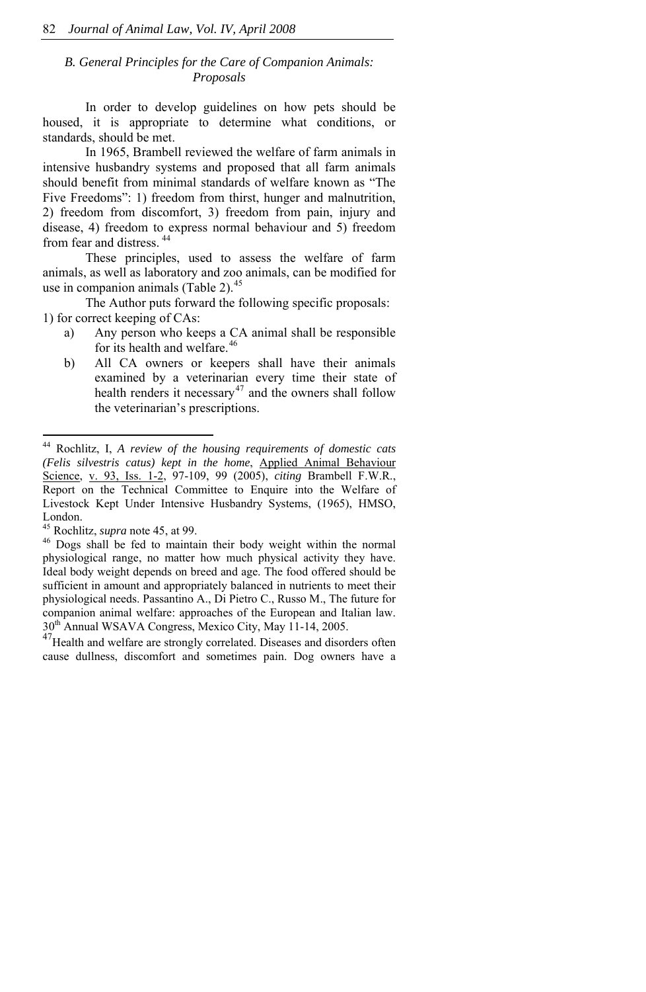# <span id="page-23-0"></span>*B. General Principles for the Care of Companion Animals: Proposals*

 In order to develop guidelines on how pets should be housed, it is appropriate to determine what conditions, or standards, should be met.

 In 1965, Brambell reviewed the welfare of farm animals in intensive husbandry systems and proposed that all farm animals should benefit from minimal standards of welfare known as "The Five Freedoms": 1) freedom from thirst, hunger and malnutrition, 2) freedom from discomfort, 3) freedom from pain, injury and disease, 4) freedom to express normal behaviour and 5) freedom from fear and distress.<sup>[44](#page-23-0)</sup>

 These principles, used to assess the welfare of farm animals, as well as laboratory and zoo animals, can be modified for use in companion animals (Table 2).<sup>[45](#page-23-0)</sup>

 The Author puts forward the following specific proposals: 1) for correct keeping of CAs:

- a) Any person who keeps a CA animal shall be responsible for its health and welfare.<sup>[46](#page-23-0)</sup>
- b) All CA owners or keepers shall have their animals examined by a veterinarian every time their state of health renders it necessary<sup>[47](#page-23-0)</sup> and the owners shall follow the veterinarian's prescriptions.

 $\overline{a}$ 

 $^{47}$ Health and welfare are strongly correlated. Diseases and disorders often cause dullness, discomfort and sometimes pain. Dog owners have a

<sup>44</sup> Rochlitz, I, *A review of the housing requirements of domestic cats (Felis silvestris catus) kept in the home*, [Applied Animal Behaviour](http://periodici.caspur.it/cgi-bin/sciserv.pl?collection=journals&journal=01681591)  [Science,](http://periodici.caspur.it/cgi-bin/sciserv.pl?collection=journals&journal=01681591) [v. 93, Iss. 1-2,](http://periodici.caspur.it/cgi-bin/sciserv.pl?collection=journals&journal=01681591&issue=v93i1-2) 97-109, 99 (2005), *citing* Brambell F.W.R., Report on the Technical Committee to Enquire into the Welfare of Livestock Kept Under Intensive Husbandry Systems, (1965), HMSO, London.

<sup>&</sup>lt;sup>45</sup> Rochlitz, *supra* note 45, at 99.  $\frac{46}{100}$  Dogs shall be fed to maintain their body weight within the normal physiological range, no matter how much physical activity they have. Ideal body weight depends on breed and age. The food offered should be sufficient in amount and appropriately balanced in nutrients to meet their physiological needs. Passantino A., Di Pietro C., Russo M., The future for companion animal welfare: approaches of the European and Italian law.<br> $30<sup>th</sup>$  Annual WSAVA Congress, Mexico City, May 11-14, 2005.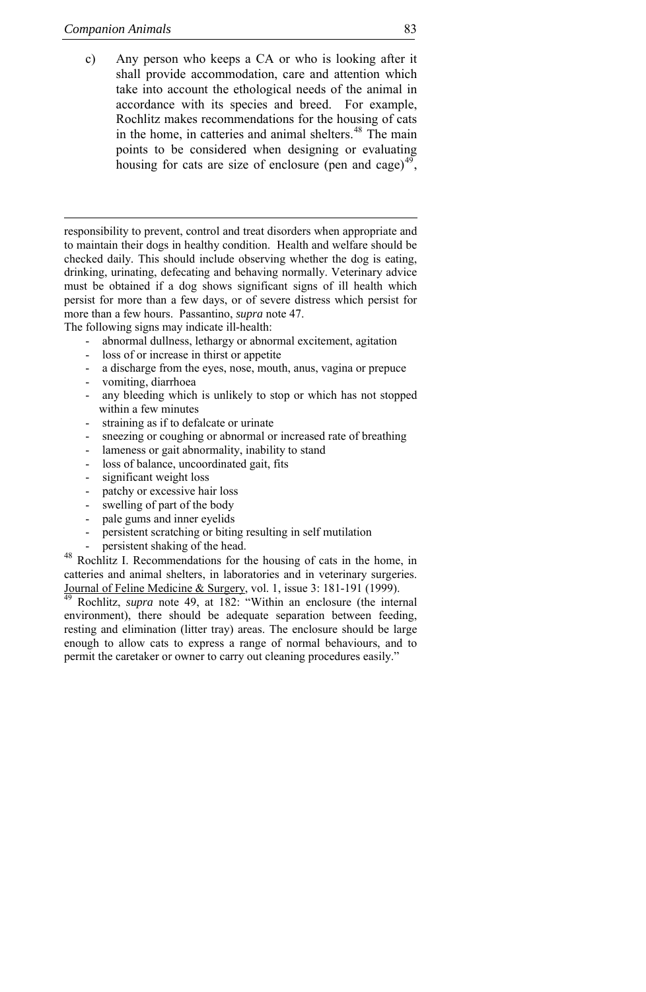<span id="page-24-0"></span>c) Any person who keeps a CA or who is looking after it shall provide accommodation, care and attention which take into account the ethological needs of the animal in accordance with its species and breed. For example, Rochlitz makes recommendations for the housing of cats in the home, in catteries and animal shelters.<sup>[48](#page-24-0)</sup> The main points to be considered when designing or evaluating housing for cats are size of enclosure (pen and cage) $49$ ,

responsibility to prevent, control and treat disorders when appropriate and to maintain their dogs in healthy condition. Health and welfare should be checked daily. This should include observing whether the dog is eating, drinking, urinating, defecating and behaving normally. Veterinary advice must be obtained if a dog shows significant signs of ill health which persist for more than a few days, or of severe distress which persist for more than a few hours. Passantino, *supra* note 47.

The following signs may indicate ill-health:

- abnormal dullness, lethargy or abnormal excitement, agitation
- loss of or increase in thirst or appetite
- a discharge from the eyes, nose, mouth, anus, vagina or prepuce
- vomiting, diarrhoea
- any bleeding which is unlikely to stop or which has not stopped within a few minutes
- straining as if to defalcate or urinate
- sneezing or coughing or abnormal or increased rate of breathing
- lameness or gait abnormality, inability to stand
- loss of balance, uncoordinated gait, fits
- significant weight loss
- patchy or excessive hair loss
- swelling of part of the body
- pale gums and inner eyelids
- persistent scratching or biting resulting in self mutilation
- 

- persistent shaking of the head. 48 Rochlitz I. Recommendations for the housing of cats in the home, in catteries and animal shelters, in laboratories and in veterinary surgeries. [Journal of Feline Medicine & Surgery,](http://periodici.caspur.it/cgi-bin/sciserv.pl?collection=journals&journal=1098612x) vol. 1, issue 3: 181-191 (1999). [49](http://periodici.caspur.it/cgi-bin/sciserv.pl?collection=journals&journal=1098612x) Rochlitz, *supra* note 49, at 182: "Within an enclosure (the internal

environment), there should be adequate separation between feeding, resting and elimination (litter tray) areas. The enclosure should be large enough to allow cats to express a range of normal behaviours, and to permit the caretaker or owner to carry out cleaning procedures easily."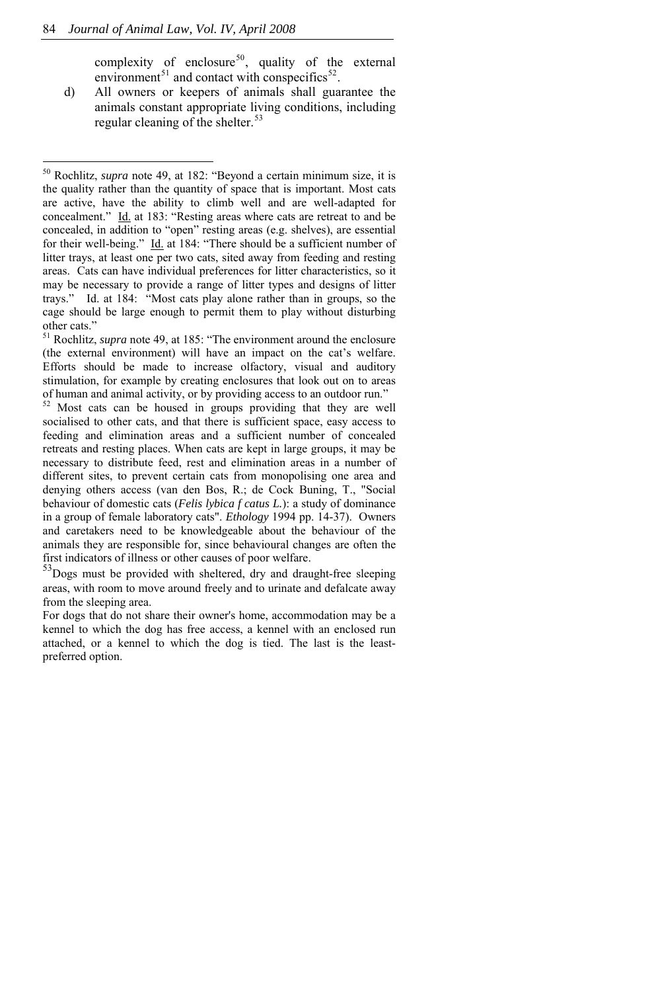j

complexity of enclosure<sup>50</sup>, quality of the external environment<sup>51</sup> and contact with conspecifics<sup>52</sup>.

<span id="page-25-0"></span>d) All owners or keepers of animals shall guarantee the animals constant appropriate living conditions, including regular cleaning of the shelter.<sup>[53](#page-25-0)</sup>

<sup>50</sup> Rochlitz, *supra* note 49, at 182: "Beyond a certain minimum size, it is the quality rather than the quantity of space that is important. Most cats are active, have the ability to climb well and are well-adapted for concealment." Id. at 183: "Resting areas where cats are retreat to and be concealed, in addition to "open" resting areas (e.g. shelves), are essential for their well-being." Id. at 184: "There should be a sufficient number of litter trays, at least one per two cats, sited away from feeding and resting areas. Cats can have individual preferences for litter characteristics, so it may be necessary to provide a range of litter types and designs of litter trays." Id. at 184: "Most cats play alone rather than in groups, so the cage should be large enough to permit them to play without disturbing other cats."

<sup>51</sup> Rochlitz, *supra* note 49, at 185: "The environment around the enclosure (the external environment) will have an impact on the cat's welfare. Efforts should be made to increase olfactory, visual and auditory stimulation, for example by creating enclosures that look out on to areas of human and animal activity, or by providing access to an outdoor run."

Most cats can be housed in groups providing that they are well socialised to other cats, and that there is sufficient space, easy access to feeding and elimination areas and a sufficient number of concealed retreats and resting places. When cats are kept in large groups, it may be necessary to distribute feed, rest and elimination areas in a number of different sites, to prevent certain cats from monopolising one area and denying others access (van den Bos, R.; de Cock Buning, T., "Social behaviour of domestic cats (*Felis lybica f catus L.*): a study of dominance in a group of female laboratory cats". *Ethology* 1994 pp. 14-37). Owners and caretakers need to be knowledgeable about the behaviour of the animals they are responsible for, since behavioural changes are often the first indicators of illness or other causes of poor welfare.

<sup>53</sup>Dogs must be provided with sheltered, dry and draught-free sleeping areas, with room to move around freely and to urinate and defalcate away from the sleeping area.

For dogs that do not share their owner's home, accommodation may be a kennel to which the dog has free access, a kennel with an enclosed run attached, or a kennel to which the dog is tied. The last is the leastpreferred option.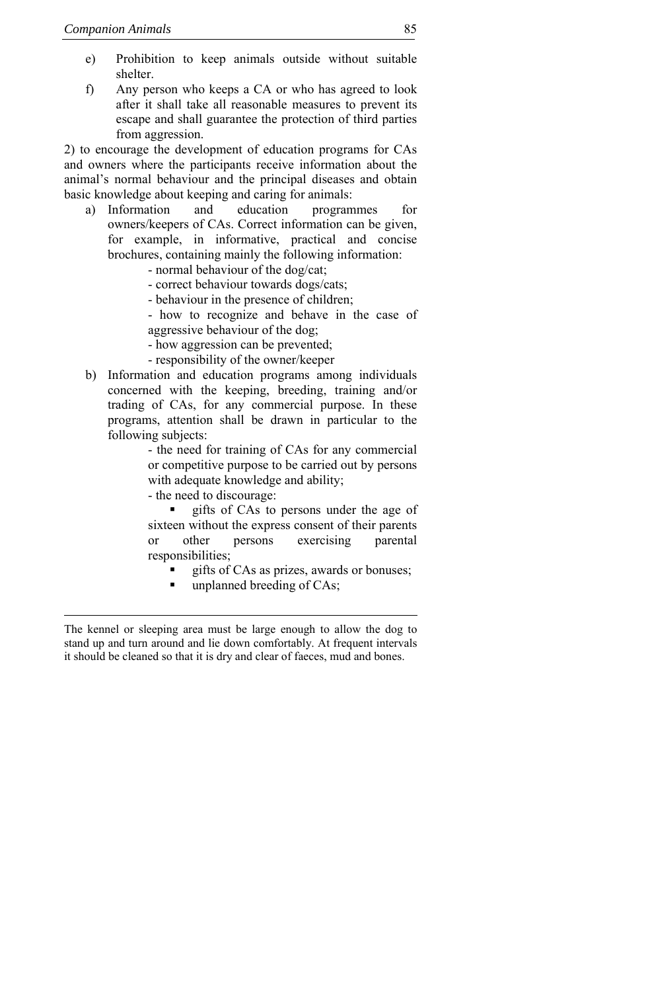- e) Prohibition to keep animals outside without suitable shelter.
- f) Any person who keeps a CA or who has agreed to look after it shall take all reasonable measures to prevent its escape and shall guarantee the protection of third parties from aggression.

2) to encourage the development of education programs for CAs and owners where the participants receive information about the animal's normal behaviour and the principal diseases and obtain basic knowledge about keeping and caring for animals:

- a) Information and education programmes for owners/keepers of CAs. Correct information can be given, for example, in informative, practical and concise brochures, containing mainly the following information:
	- normal behaviour of the dog/cat;
	- correct behaviour towards dogs/cats;
	- behaviour in the presence of children;
	- how to recognize and behave in the case of aggressive behaviour of the dog;
	- how aggression can be prevented;
	- responsibility of the owner/keeper
- b) Information and education programs among individuals concerned with the keeping, breeding, training and/or trading of CAs, for any commercial purpose. In these programs, attention shall be drawn in particular to the following subjects:

- the need for training of CAs for any commercial or competitive purpose to be carried out by persons with adequate knowledge and ability;

- the need to discourage:

 gifts of CAs to persons under the age of sixteen without the express consent of their parents or other persons exercising parental responsibilities;

- gifts of CAs as prizes, awards or bonuses;
- unplanned breeding of CAs;

The kennel or sleeping area must be large enough to allow the dog to stand up and turn around and lie down comfortably. At frequent intervals it should be cleaned so that it is dry and clear of faeces, mud and bones.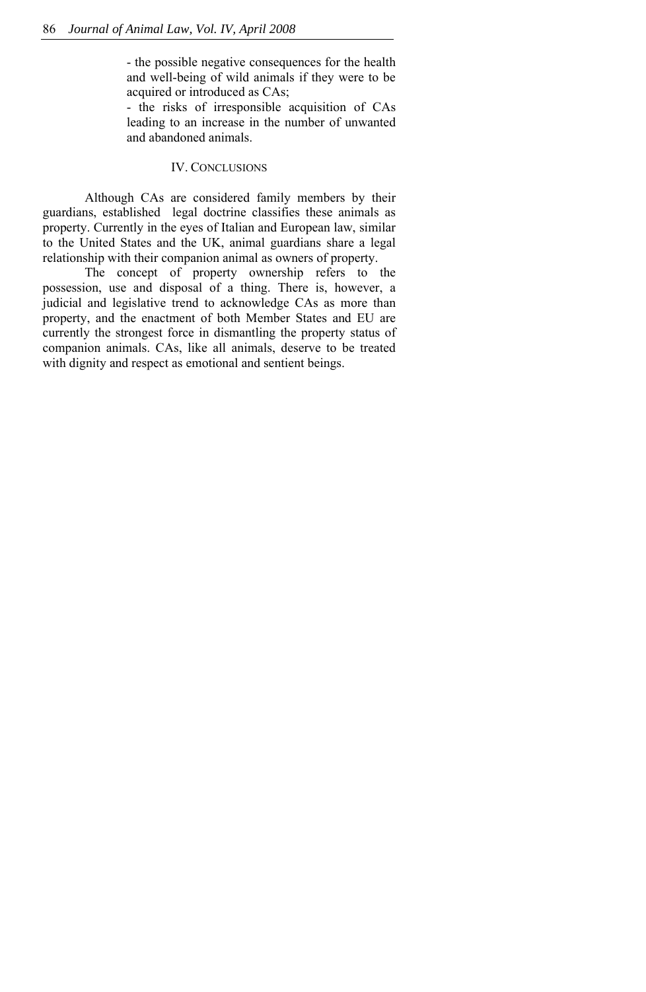- the possible negative consequences for the health and well-being of wild animals if they were to be acquired or introduced as CAs;

- the risks of irresponsible acquisition of CAs leading to an increase in the number of unwanted and abandoned animals.

# IV. CONCLUSIONS

Although CAs are considered family members by their guardians, established legal doctrine classifies these animals as property. Currently in the eyes of Italian and European law, similar to the United States and the UK, animal guardians share a legal relationship with their companion animal as owners of property.

The concept of property ownership refers to the possession, use and disposal of a thing. There is, however, a judicial and legislative trend to acknowledge CAs as more than property, and the enactment of both Member States and EU are currently the strongest force in dismantling the property status of companion animals. CAs, like all animals, deserve to be treated with dignity and respect as emotional and sentient beings.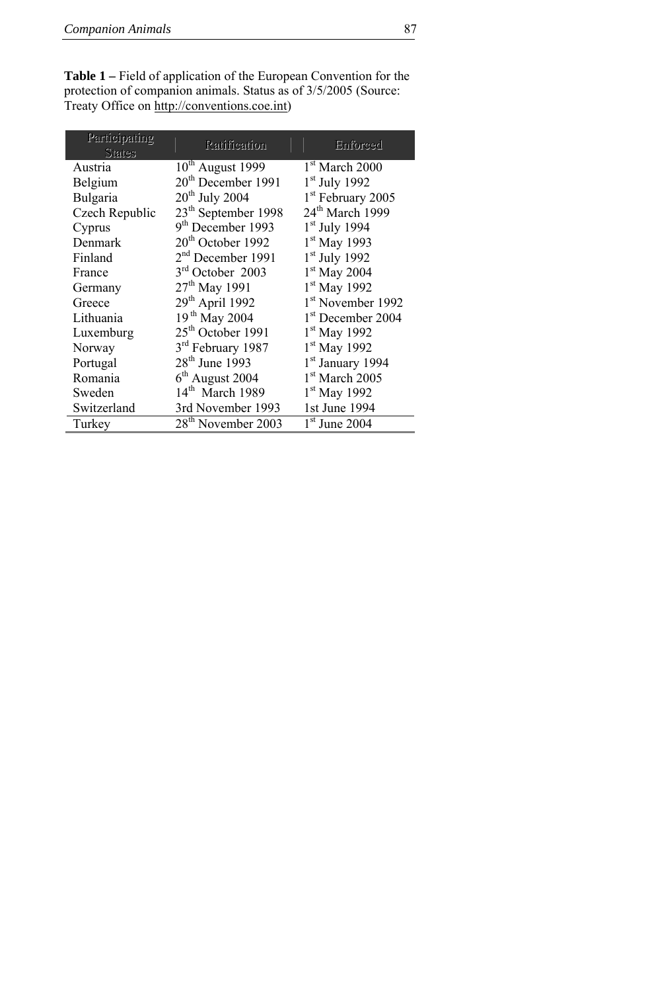**Table 1 –** Field of application of the European Convention for the protection of companion animals. Status as of 3/5/2005 (Source: Treaty Office on [http://conventions.coe.int](http://conventions.coe.int/))

| Participating<br><b>States</b> | Ratification                    | Enforced                      |
|--------------------------------|---------------------------------|-------------------------------|
| Austria                        | $10th$ August 1999              | $1st$ March 2000              |
| Belgium                        | $20th$ December 1991            | $1st$ July 1992               |
| Bulgaria                       | $20th$ July 2004                | 1 <sup>st</sup> February 2005 |
| Czech Republic                 | 23 <sup>th</sup> September 1998 | 24 <sup>th</sup> March 1999   |
| Cyprus                         | 9 <sup>th</sup> December 1993   | $1st$ July 1994               |
| Denmark                        | $20th$ October 1992             | 1 <sup>st</sup> May 1993      |
| Finland                        | 2 <sup>nd</sup> December 1991   | $1st$ July 1992               |
| France                         | $3rd$ October 2003              | $1st$ May 2004                |
| Germany                        | $27th$ May 1991                 | $1st$ May 1992                |
| Greece                         | 29th April 1992                 | 1 <sup>st</sup> November 1992 |
| Lithuania                      | 19 <sup>th</sup> May 2004       | 1 <sup>st</sup> December 2004 |
| Luxemburg                      | 25 <sup>th</sup> October 1991   | $1st$ May 1992                |
| Norway                         | 3rd February 1987               | $1st$ May 1992                |
| Portugal                       | 28 <sup>th</sup> June 1993      | 1 <sup>st</sup> January 1994  |
| Romania                        | $6th$ August 2004               | $1st$ March 2005              |
| Sweden                         | $14th$ March 1989               | $1st$ May 1992                |
| Switzerland                    | 3rd November 1993               | 1st June 1994                 |
| Turkey                         | 28 <sup>th</sup> November 2003  | $1st$ June 2004               |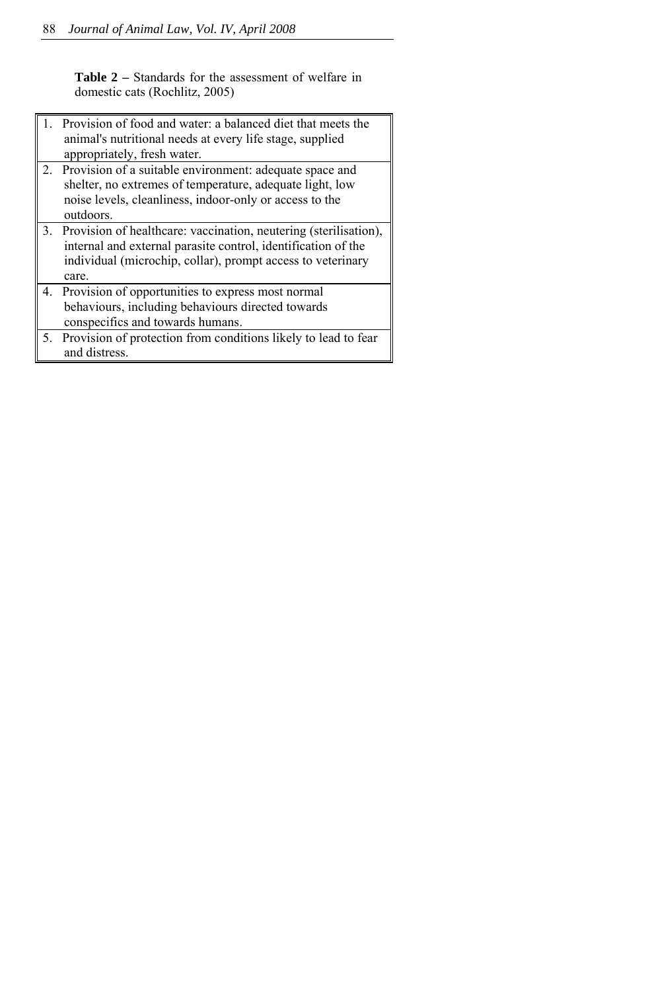**Table 2 –** Standards for the assessment of welfare in domestic cats (Rochlitz, 2005)

|             | Provision of food and water: a balanced diet that meets the<br>animal's nutritional needs at every life stage, supplied<br>appropriately, fresh water.                                                       |
|-------------|--------------------------------------------------------------------------------------------------------------------------------------------------------------------------------------------------------------|
| $2^{\circ}$ | Provision of a suitable environment: adequate space and<br>shelter, no extremes of temperature, adequate light, low<br>noise levels, cleanliness, indoor-only or access to the<br>outdoors.                  |
|             | 3. Provision of healthcare: vaccination, neutering (sterilisation),<br>internal and external parasite control, identification of the<br>individual (microchip, collar), prompt access to veterinary<br>care. |
|             | 4. Provision of opportunities to express most normal<br>behaviours, including behaviours directed towards<br>conspecifics and towards humans.                                                                |
| 5.          | Provision of protection from conditions likely to lead to fear<br>and distress.                                                                                                                              |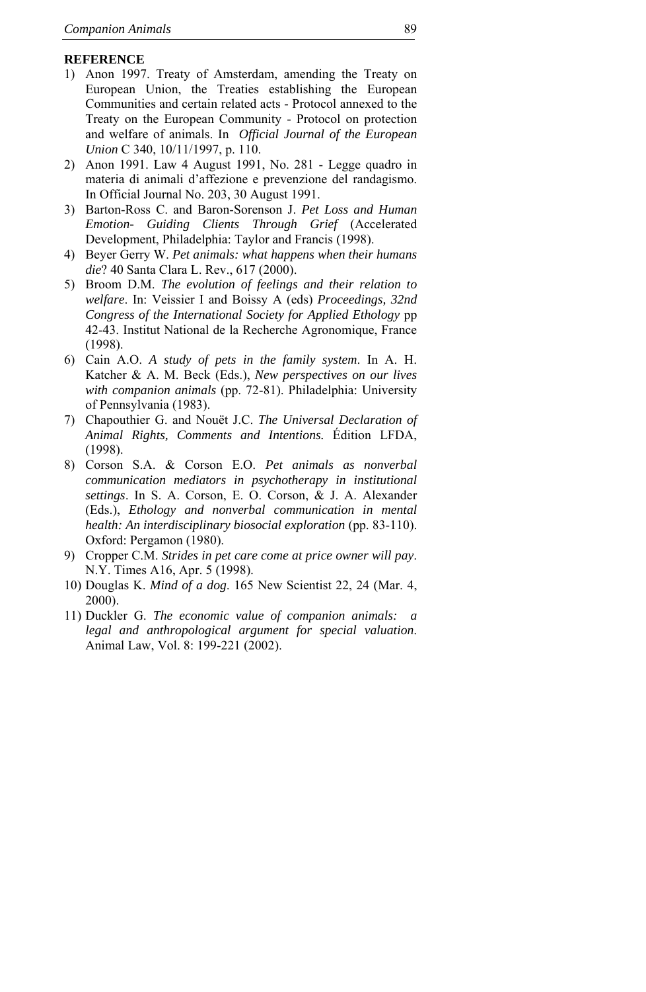# **REFERENCE**

- 1) Anon 1997. Treaty of Amsterdam, amending the Treaty on European Union, the Treaties establishing the European Communities and certain related acts - Protocol annexed to the Treaty on the European Community - Protocol on protection and welfare of animals. In *Official Journal of the European Union* C 340, 10/11/1997, p. 110.
- 2) Anon 1991. Law 4 August 1991, No. 281 Legge quadro in materia di animali d'affezione e prevenzione del randagismo. In Official Journal No. 203, 30 August 1991.
- 3) Barton-Ross C. and Baron-Sorenson J. *Pet Loss and Human Emotion- Guiding Clients Through Grief* (Accelerated Development, Philadelphia: Taylor and Francis (1998).
- 4) Beyer Gerry W. *Pet animals: what happens when their humans die*? 40 Santa Clara L. Rev., 617 (2000).
- 5) Broom D.M. *The evolution of feelings and their relation to welfare*. In: Veissier I and Boissy A (eds) *Proceedings, 32nd Congress of the International Society for Applied Ethology* pp 42-43. Institut National de la Recherche Agronomique, France (1998).
- 6) Cain A.O. *A study of pets in the family system*. In A. H. Katcher & A. M. Beck (Eds.), *New perspectives on our lives with companion animals* (pp. 72-81). Philadelphia: University of Pennsylvania (1983).
- 7) Chapouthier G. and Nouët J.C. *The Universal Declaration of Animal Rights, Comments and Intentions.* Édition LFDA, (1998).
- 8) Corson S.A. & Corson E.O. *Pet animals as nonverbal communication mediators in psychotherapy in institutional settings*. In S. A. Corson, E. O. Corson, & J. A. Alexander (Eds.), *Ethology and nonverbal communication in mental health: An interdisciplinary biosocial exploration* (pp. 83-110). Oxford: Pergamon (1980).
- 9) Cropper C.M. *Strides in pet care come at price owner will pay*. N.Y. Times A16, Apr. 5 (1998).
- 10) Douglas K. *Mind of a dog*. 165 New Scientist 22, 24 (Mar. 4, 2000).
- 11) Duckler G. *The economic value of companion animals: a legal and anthropological argument for special valuation*. Animal Law, Vol. 8: 199-221 (2002).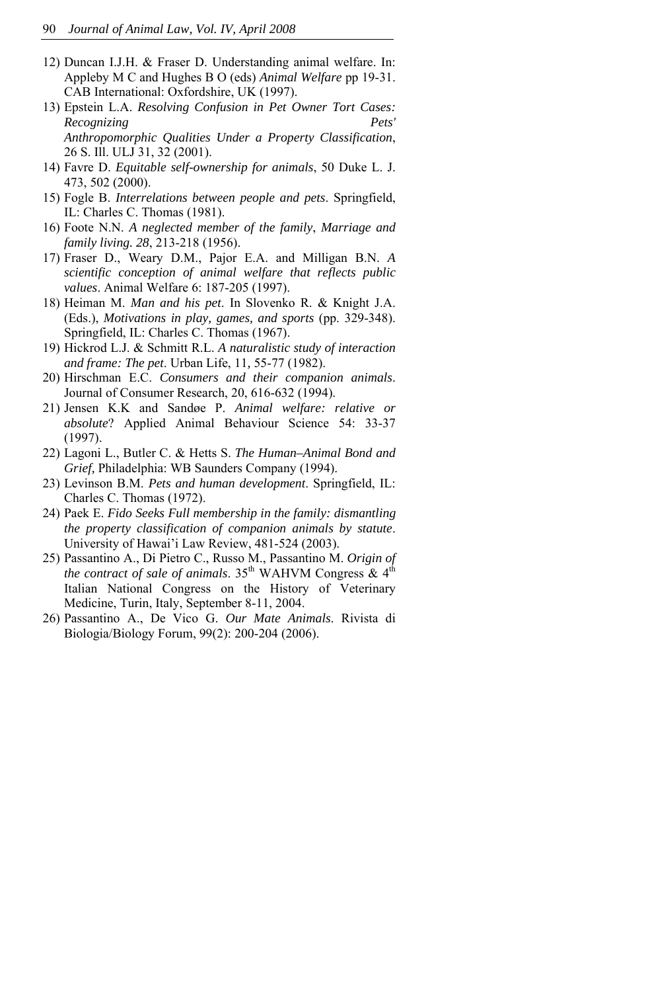- 12) Duncan I.J.H. & Fraser D. Understanding animal welfare. In: Appleby M C and Hughes B O (eds) *Animal Welfare* pp 19-31. CAB International: Oxfordshire, UK (1997).
- 13) Epstein L.A. *Resolving Confusion in Pet Owner Tort Cases: Recognizing Pets' Anthropomorphic Qualities Under a Property Classification*, 26 S. Ill. ULJ 31, 32 (2001).
- 14) Favre D. *Equitable self-ownership for animals*, 50 Duke L. J. 473, 502 (2000).
- 15) Fogle B. *Interrelations between people and pets*. Springfield, IL: Charles C. Thomas (1981).
- 16) Foote N.N. *A neglected member of the family*, *Marriage and family living. 28*, 213-218 (1956).
- 17) Fraser D., Weary D.M., Pajor E.A. and Milligan B.N. *A scientific conception of animal welfare that reflects public values*. Animal Welfare 6: 187-205 (1997).
- 18) Heiman M. *Man and his pet*. In Slovenko R. & Knight J.A. (Eds.), *Motivations in play, games, and sports* (pp. 329-348). Springfield, IL: Charles C. Thomas (1967).
- 19) Hickrod L.J. & Schmitt R.L. *A naturalistic study of interaction and frame: The pet*. Urban Life, 11*,* 55-77 (1982).
- 20) Hirschman E.C. *Consumers and their companion animals*. Journal of Consumer Research, 20, 616-632 (1994).
- 21) Jensen K.K and Sandøe P. *Animal welfare: relative or absolute*? Applied Animal Behaviour Science 54: 33-37 (1997).
- 22) Lagoni L., Butler C. & Hetts S. *The Human–Animal Bond and Grief,* Philadelphia: WB Saunders Company (1994).
- 23) Levinson B.M. *Pets and human development*. Springfield, IL: Charles C. Thomas (1972).
- 24) Paek E. *Fido Seeks Full membership in the family: dismantling the property classification of companion animals by statute*. University of Hawai'i Law Review, 481-524 (2003).
- 25) Passantino A., Di Pietro C., Russo M., Passantino M. *Origin of the contract of sale of animals*.  $35<sup>th</sup>$  WAHVM Congress  $\&$  4<sup>th</sup> Italian National Congress on the History of Veterinary Medicine, Turin, Italy, September 8-11, 2004.
- 26) Passantino A., De Vico G. *Our Mate Animals*. Rivista di Biologia/Biology Forum, 99(2): 200-204 (2006).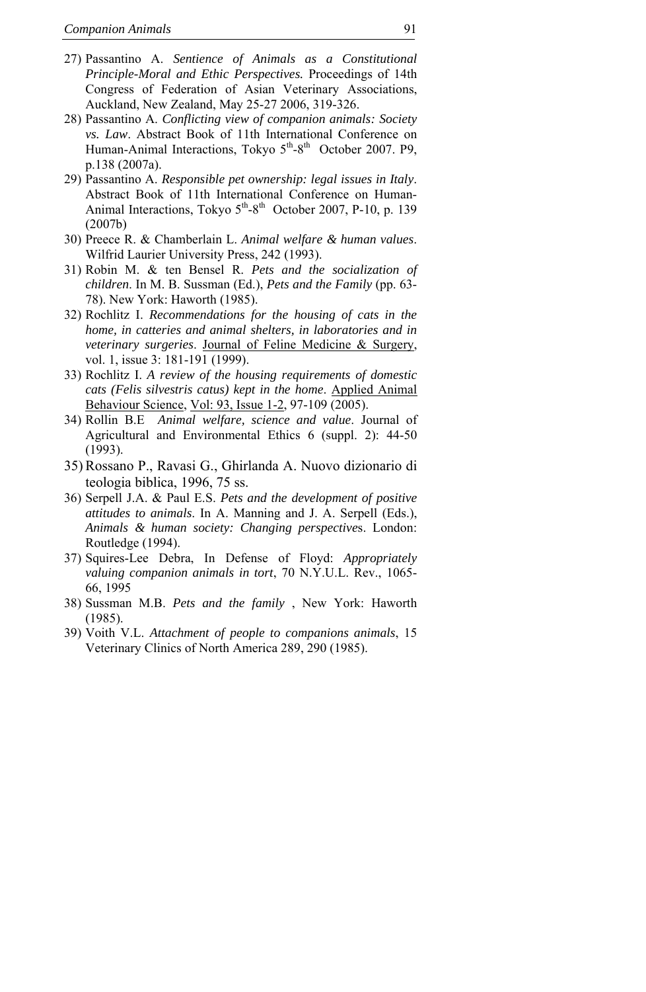- 27) Passantino A. *Sentience of Animals as a Constitutional Principle-Moral and Ethic Perspectives.* Proceedings of 14th Congress of Federation of Asian Veterinary Associations, Auckland, New Zealand, May 25-27 2006, 319-326.
- 28) Passantino A. *Conflicting view of companion animals: Society vs. Law*. Abstract Book of 11th International Conference on Human-Animal Interactions, Tokyo 5<sup>th</sup>-8<sup>th</sup> October 2007. P9, p.138 (2007a).
- 29) Passantino A. *Responsible pet ownership: legal issues in Italy*. Abstract Book of 11th International Conference on Human-Animal Interactions, Tokyo  $5<sup>th</sup>-8<sup>th</sup>$  October 2007, P-10, p. 139 (2007b)
- 30) Preece R. & Chamberlain L. *Animal welfare & human values*. Wilfrid Laurier University Press, 242 (1993).
- 31) Robin M. & ten Bensel R. *Pets and the socialization of children*. In M. B. Sussman (Ed.), *Pets and the Family* (pp. 63- 78). New York: Haworth (1985).
- 32) Rochlitz I. *Recommendations for the housing of cats in the home, in catteries and animal shelters, in laboratories and in veterinary surgeries*. [Journal of Feline Medicine & Surgery](http://periodici.caspur.it/cgi-bin/sciserv.pl?collection=journals&journal=1098612x), vol. 1, issue 3: 181-191 (1999).
- 33) Rochlitz I. *A review of the housing requirements of domestic cats (Felis silvestris catus) kept in the home*. [Applied Animal](http://periodici.caspur.it/cgi-bin/sciserv.pl?collection=journals&journal=01681591)  [Behaviour Science](http://periodici.caspur.it/cgi-bin/sciserv.pl?collection=journals&journal=01681591), [Vol: 93, Issue 1-2](http://periodici.caspur.it/cgi-bin/sciserv.pl?collection=journals&journal=01681591&issue=v93i1-2), 97-109 (2005).
- 34) Rollin B.E *Animal welfare, science and value*. Journal of Agricultural and Environmental Ethics 6 (suppl. 2): 44-50 (1993).
- 35)Rossano P., Ravasi G., Ghirlanda A. Nuovo dizionario di teologia biblica, 1996, 75 ss.
- 36) Serpell J.A. & Paul E.S. *Pets and the development of positive attitudes to animals*. In A. Manning and J. A. Serpell (Eds.), *Animals & human society: Changing perspective*s. London: Routledge (1994).
- 37) Squires-Lee Debra, In Defense of Floyd: *Appropriately valuing companion animals in tort*, 70 N.Y.U.L. Rev., 1065- 66, 1995
- 38) Sussman M.B. *Pets and the family* , New York: Haworth (1985).
- 39) Voith V.L. *Attachment of people to companions animals*, 15 Veterinary Clinics of North America 289, 290 (1985).